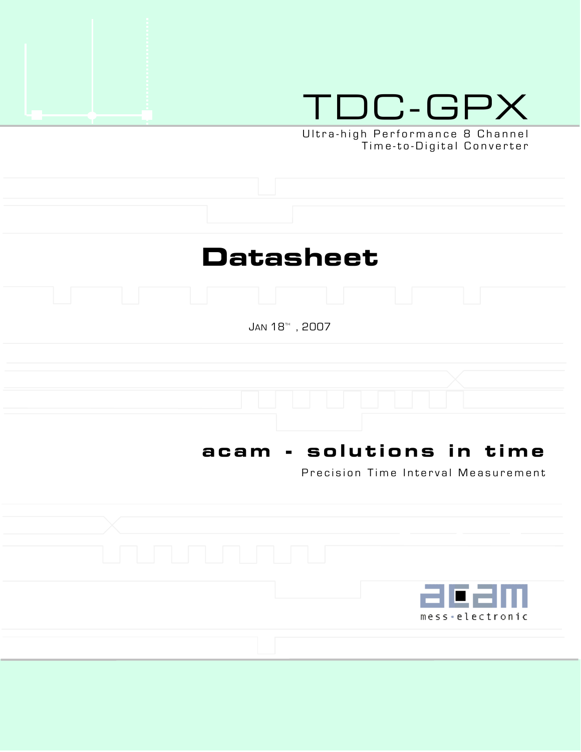

# **Datasheet** Jan 18™, 2007 acam - solutions in time Precision Time Interval Measurement mess-electronic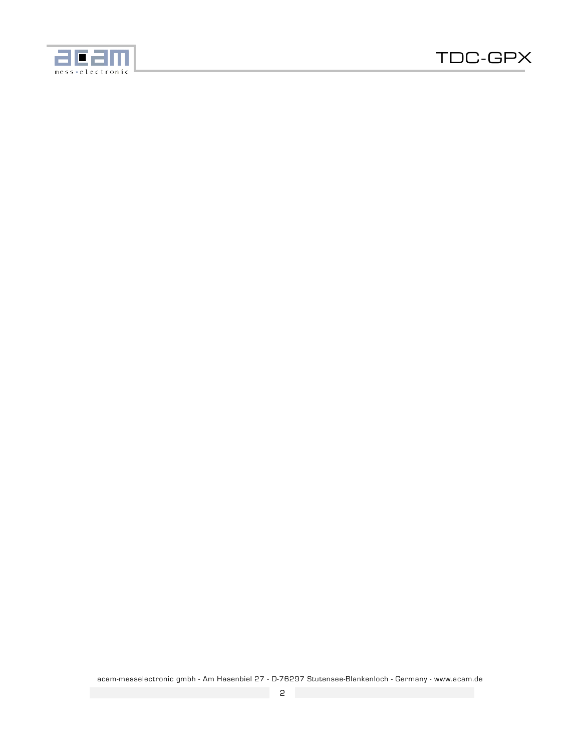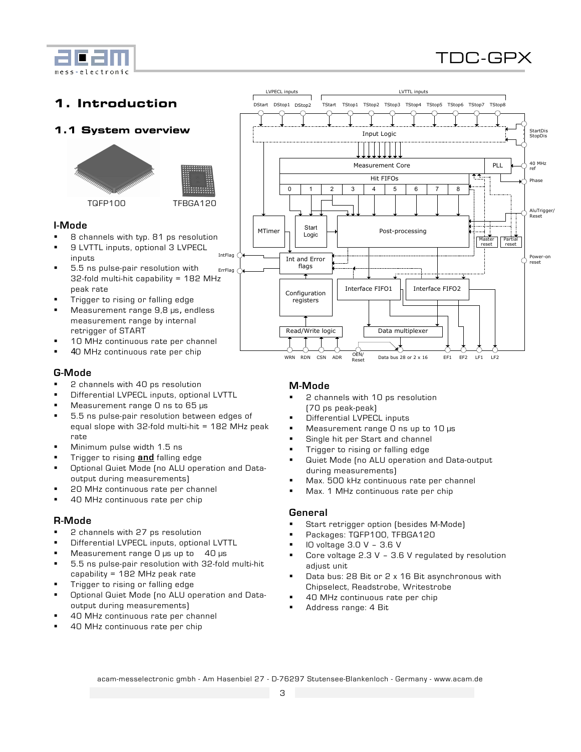<span id="page-2-0"></span>

# TDC-GPX

PLL

 $M_{\rm AG}$ reset

 $\ddot{\phantom{0}}$ 

Partial reset

EF1  $EF2$  LF1

40 MHz ref Phase

StartDis **StopDis** 

AluTrigger/ Reset

Power-on reset

# 1. Introduction

# 1.1 System overview



#### **I-Mode**

- 8 channels with typ. 81 ps resolution
- 9 LVTTL inputs, optional 3 LVPECL inputs IntFlag
- 5.5 ns pulse-pair resolution with 32-fold multi-hit capability = 182 MHz peak rate ErrFlag
- Trigger to rising or falling edge
- Measurement range 9,8 µs, endless measurement range by internal retrigger of START
- 10 MHz continuous rate per channel
- 40 MHz continuous rate per chip

## **G-Mode**

- 2 channels with 40 ps resolution
- Differential LVPECL inputs, optional LVTTL
- Measurement range 0 ns to 65 µs
- 5.5 ns pulse-pair resolution between edges of equal slope with 32-fold multi-hit = 182 MHz peak rate
- Minimum pulse width 1.5 ns
- Trigger to rising **and** falling edge
- Optional Quiet Mode (no ALU operation and Dataoutput during measurements)
- 20 MHz continuous rate per channel
- 40 MHz continuous rate per chip

#### **R-Mode**

- 2 channels with 27 ps resolution
- Differential LVPECL inputs, optional LVTTL
- Measurement range 0 µs up to 40 µs
- 5.5 ns pulse-pair resolution with 32-fold multi-hit capability = 182 MHz peak rate
- Trigger to rising or falling edge
- Optional Quiet Mode (no ALU operation and Dataoutput during measurements)
- 40 MHz continuous rate per channel
- 40 MHz continuous rate per chip

#### **M-Mode**

Start<br>Logic

MTimer

Configuration registers

Int and Error flags

> 2 channels with 10 ps resolution (70 ps peak-peak)

Read/Write logic Data multiplexer

WRN RDN CSN ADR  $\overline{OEN}$  Data bus 28 or 2 x 16 Reset

- Differential LVPECL inputs
- Measurement range 0 ns up to 10 µs

DStart DStop1 DStop2 TStart TStop1 TStop2 TStop3 TStop4 TStop5 TStop6 TStop7 TStop8

Input Logic

Measurement Core

Post-processing

Interface FIFO1  $\vert \cdot \vert$  Interface FIFO2

0 | 1 | 2 | 3 | 4 | 5 | 6 | 7 | 8 Hit FIFOs

LVPECL inputs LVTTL inputs

- Single hit per Start and channel
- Trigger to rising or falling edge
- Quiet Mode (no ALU operation and Data-output during measurements)
- Max. 500 kHz continuous rate per channel
- Max. 1 MHz continuous rate per chip

#### **General**

- Start retrigger option (besides M-Mode)
- Packages: TQFP100, TFBGA120
- IO voltage 3.0 V 3.6 V
- Core voltage 2.3 V 3.6 V regulated by resolution adjust unit
- Data bus: 28 Bit or 2 x 16 Bit asynchronous with Chipselect, Readstrobe, Writestrobe
- 40 MHz continuous rate per chip
- Address range: 4 Bit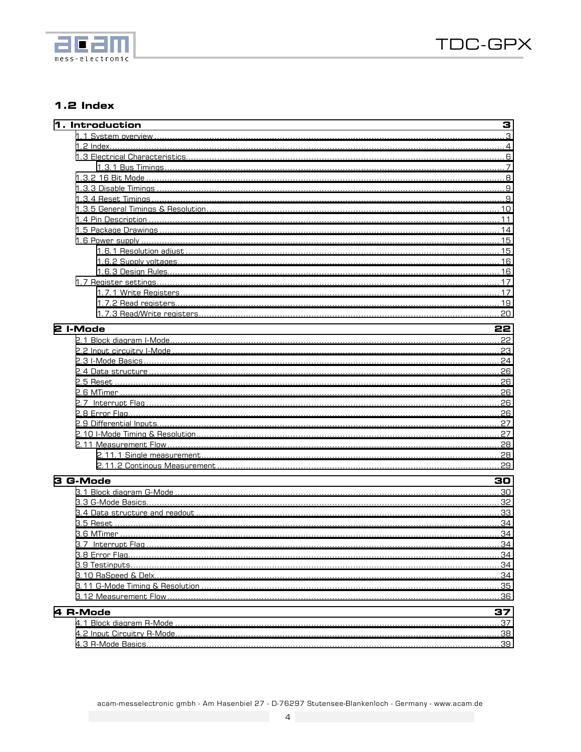

# $1.2$  Index

| 1. Introduction    | З  |
|--------------------|----|
|                    |    |
|                    |    |
|                    |    |
|                    |    |
|                    |    |
|                    |    |
|                    |    |
|                    |    |
|                    |    |
|                    |    |
|                    |    |
|                    |    |
|                    |    |
|                    |    |
|                    |    |
|                    |    |
|                    |    |
|                    |    |
| 2 I-Mode           | 22 |
|                    |    |
|                    |    |
|                    |    |
|                    |    |
|                    |    |
|                    |    |
|                    |    |
|                    |    |
|                    |    |
|                    |    |
|                    |    |
|                    |    |
|                    |    |
|                    |    |
| 3 G-Mode           | 30 |
|                    |    |
|                    |    |
|                    |    |
|                    |    |
|                    |    |
| 3.7 Interrupt Flag | 34 |
|                    |    |
|                    |    |
|                    |    |
|                    |    |
|                    |    |
| 4 R-Mode           | 37 |
|                    |    |
|                    |    |
|                    |    |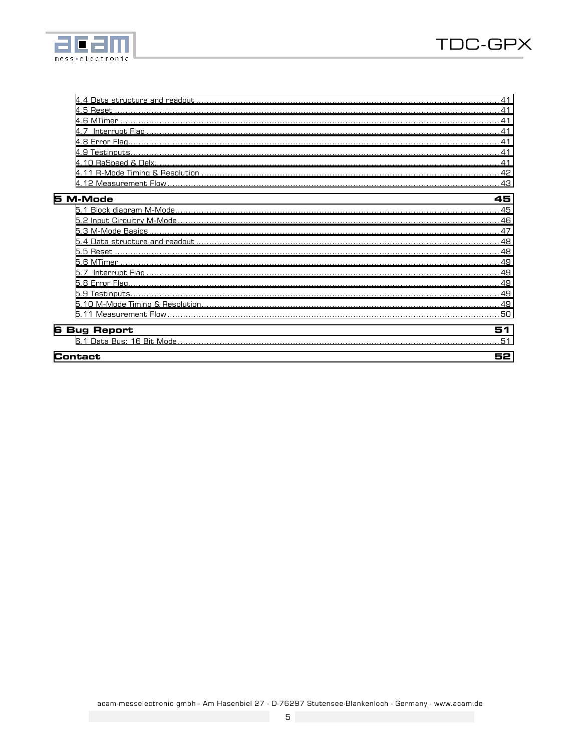



| 5 M-Mode            | 45 |
|---------------------|----|
|                     |    |
|                     |    |
|                     |    |
|                     |    |
|                     |    |
|                     |    |
|                     |    |
|                     |    |
|                     |    |
|                     |    |
|                     |    |
|                     |    |
| <b>6 Bug Report</b> | 51 |
|                     |    |
|                     |    |
| Contact             | 52 |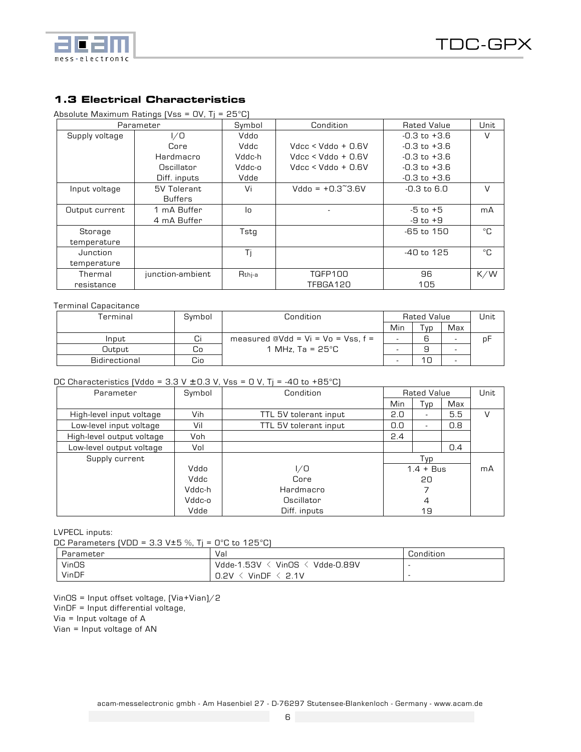<span id="page-5-0"></span>

# 1.3 Electrical Characteristics

Absolute Maximum Ratings (Vss = 0V, Tj = 25°C)

| Parameter             |                  | Symbol | Condition                | <b>Rated Value</b> | Unit   |
|-----------------------|------------------|--------|--------------------------|--------------------|--------|
| Supply voltage<br>1/0 |                  | Vddo   |                          | $-0.3$ to $+3.6$   | V      |
|                       | Core             | Vddc   | $Vdcc < Vddo + Q.GV$     | $-0.3$ to $+3.6$   |        |
|                       | Hardmacro        | Vddc-h | $Vdcc < Vddo + Q.GV$     | $-0.3$ to $+3.6$   |        |
|                       | Oscillator       | Vddc-o | $Vdcc < Vddo + Q.GV$     | $-0.3$ to $+3.6$   |        |
|                       | Diff. inputs     | Vdde   |                          | $-0.3$ to $+3.6$   |        |
| Input voltage         | 5V Tolerant      | Vi     | $Vddo = +0.3^{\sim}3.6V$ | $-0.3$ to $6.0$    | $\vee$ |
|                       | <b>Buffers</b>   |        |                          |                    |        |
| Output current        | 1 mA Buffer      | lo     |                          | $-5$ to $+5$       | mA     |
|                       | 4 mA Buffer      |        |                          | $-9$ to $+9$       |        |
| Storage               |                  | Tstq   |                          | -65 to 150         | °C     |
| temperature           |                  |        |                          |                    |        |
| Junction              |                  | Τj     |                          | -40 to 125         | °C     |
| temperature           |                  |        |                          |                    |        |
| Thermal               | junction-ambient | Rthj-a | <b>TQFP100</b>           | 96                 | K/W    |
| resistance            |                  |        | TFBGA120                 | 105                |        |

#### Terminal Capacitance

| <u>Ferminal</u> | Symbol | Condition                            |     | Rated Value |     | Unit |
|-----------------|--------|--------------------------------------|-----|-------------|-----|------|
|                 |        |                                      | Min | ⊤ур         | Max |      |
| Input           |        | measured $@Vdd = Vi = Vo = Vss, f =$ |     | 6           |     | рF   |
| Output          | Co     | 1 MHz. Ta = $25^{\circ}$ C           |     | Э           |     |      |
| Bidirectional   | Cio    |                                      |     | 10          |     |      |

#### DC Characteristics (Vddo =  $3.3$  V  $\pm$  0.3 V, Vss = 0 V, Tj = -40 to +85°C)

| Parameter                 | Symbol | Condition             |     | <b>Rated Value</b> |     | Unit |
|---------------------------|--------|-----------------------|-----|--------------------|-----|------|
|                           |        |                       | Min | Typ                | Max |      |
| High-level input voltage  | Vih    | TTL 5V tolerant input | 2.0 | -                  | 5.5 | V    |
| Low-level input voltage   | Vil    | TTL 5V tolerant input | 0.0 | ۰                  | 0.8 |      |
| High-level output voltage | Voh    |                       | 2.4 |                    |     |      |
| Low-level output voltage  | Vol    |                       |     |                    | 0.4 |      |
| Supply current            |        |                       |     | Typ                |     |      |
|                           | Vddo   | 1/O                   |     | $1.4 + Bus$        |     | mA   |
|                           | Vddc   | Core                  |     | 20                 |     |      |
|                           | Vddc-h | Hardmacro             |     |                    |     |      |
|                           | Vddc-o | Oscillator            |     | 4                  |     |      |
|                           | Vdde   | Diff. inputs          |     | 19                 |     |      |

LVPECL inputs:

DC Parameters (VDD =  $3.3$  V $\pm 5$  %, Tj = 0°C to 125°C)

| Parameter | Vai                               | Condition |
|-----------|-----------------------------------|-----------|
| VinOS     | VinOS<br>Vdde-1.53V<br>Vdde-0.89V |           |
| VinDF     | VinDF<br>0.2V<br>2.1V             |           |

VinOS = Input offset voltage, (Via+Vian)/2

VinDF = Input differential voltage,

Via = Input voltage of A

Vian = Input voltage of AN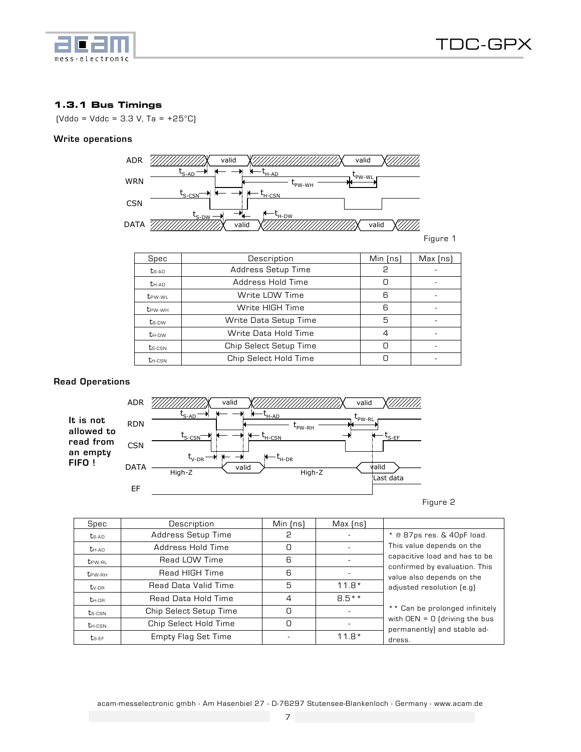<span id="page-6-0"></span>

# 1.3.1 Bus Timings

 $[Vddo = Vddc = 3.3 V, Ta = +25°C]$ 

#### **Write operations**



Figure 1

|                        |             | Max (ns) |
|------------------------|-------------|----------|
| Address Setup Time     | 2           |          |
| Address Hold Time      | 0           |          |
| Write LOW Time         | 6           |          |
| Write HIGH Time        | 6           |          |
| Write Data Setup Time  | 5           |          |
| Write Data Hold Time   | 4           |          |
| Chip Select Setup Time | n           |          |
| Chip Select Hold Time  | n           |          |
|                        | Description | Min [ns] |

## **Read Operations**



Figure 2

| Spec                 | Description                | Min (ns) | Max (ns) |                                                                |
|----------------------|----------------------------|----------|----------|----------------------------------------------------------------|
| t <sub>s</sub> -AD   | Address Setup Time         | ဥ        |          | * @ 87ps res. & 40pF load.                                     |
| th-ad                | Address Hold Time          |          |          | This value depends on the                                      |
| <b><i>LPW-RL</i></b> | Read LOW Time              | 6        |          | capacitive load and has to be<br>confirmed by evaluation. This |
| <b><i>LPW-RH</i></b> | Read HIGH Time             | 6        |          | value also depends on the                                      |
| t <sub>v-DR</sub>    | Read Data Valid Time       | 5        | $11.8*$  | adjusted resolution (e.g)                                      |
| t <sub>H-DR</sub>    | Read Data Hold Time        |          | $8.5**$  |                                                                |
| ts-csn               | Chip Select Setup Time     |          |          | ** Can be prolonged infinitely                                 |
| <b>t</b> h-csn       | Chip Select Hold Time      |          |          | with $OEN = O$ (driving the bus<br>permanently) and stable ad- |
| t <sub>s-FF</sub>    | <b>Empty Flag Set Time</b> |          | $11.8*$  | dress.                                                         |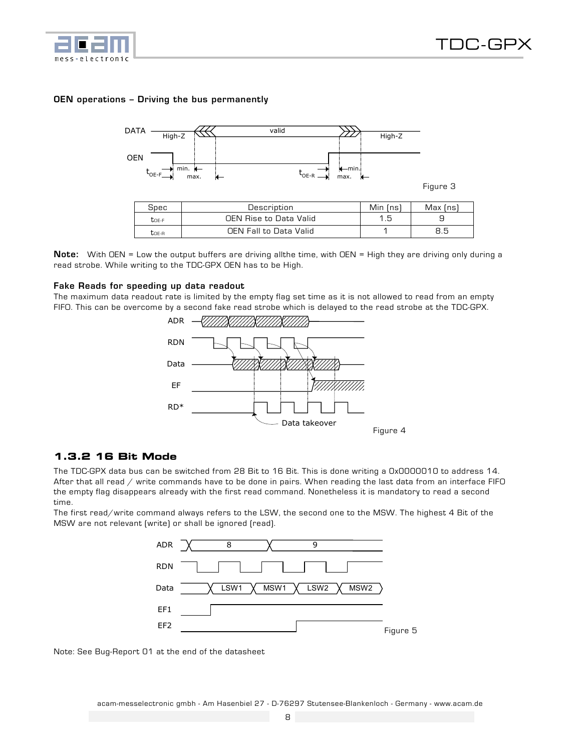<span id="page-7-0"></span>

#### **OEN operations – Driving the bus permanently**



| Spec         | Description            | Min (ns) | Max (ns) |
|--------------|------------------------|----------|----------|
| <b>LOF-F</b> | OEN Rise to Data Valid | 1.5      |          |
| <b>LOF-R</b> | OEN Fall to Data Valid |          | 8.5      |

**Note:** With OEN = Low the output buffers are driving allthe time, with OEN = High they are driving only during a read strobe. While writing to the TDC-GPX OEN has to be High.

#### **Fake Reads for speeding up data readout**

The maximum data readout rate is limited by the empty flag set time as it is not allowed to read from an empty FIFO. This can be overcome by a second fake read strobe which is delayed to the read strobe at the TDC-GPX.



#### 1.3.2 16 Bit Mode

The TDC-GPX data bus can be switched from 28 Bit to 16 Bit. This is done writing a 0x0000010 to address 14. After that all read / write commands have to be done in pairs. When reading the last data from an interface FIFO the empty flag disappears already with the first read command. Nonetheless it is mandatory to read a second time.

The first read/write command always refers to the LSW, the second one to the MSW. The highest 4 Bit of the MSW are not relevant (write) or shall be ignored (read).



Note: See Bug-Report 01 at the end of the datasheet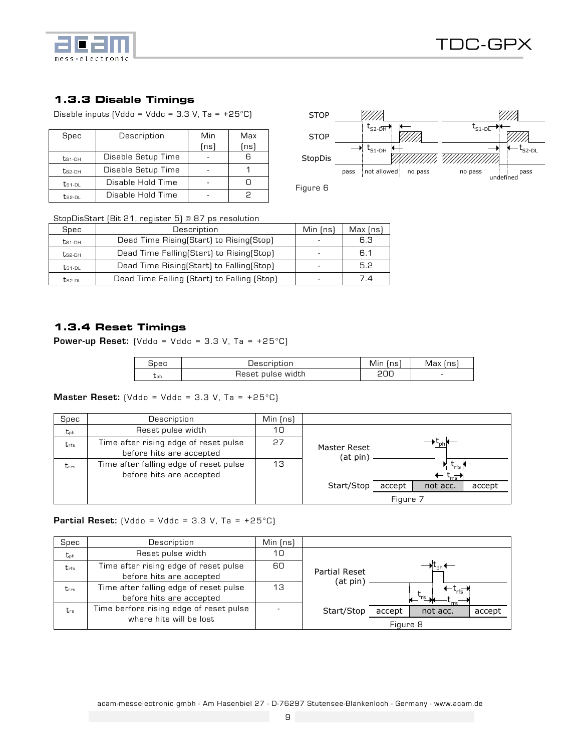<span id="page-8-0"></span>

# 1.3.3 Disable Timings

Disable inputs (Vddo = Vddc =  $3.3$  V, Ta =  $+25^{\circ}$ C)

| Spec               | Description        | Min  | Max  |
|--------------------|--------------------|------|------|
|                    |                    | (ns) | (ns) |
| $ts1-DH$           | Disable Setup Time |      |      |
| ts <sub>2-DH</sub> | Disable Setup Time |      |      |
| $ts1 - DL$         | Disable Hold Time  |      |      |
| tse-ni             | Disable Hold Time  |      |      |



StopDisStart (Bit 21, register 5) @ 87 ps resolution

| Spec            | Description                                 | Min (ns)                 | Max (ns) |
|-----------------|---------------------------------------------|--------------------------|----------|
| $t_{S1-DH}$     | Dead Time Rising (Start) to Rising (Stop)   |                          | 6.3      |
| $t_{\rm S2-DH}$ | Dead Time Falling (Start) to Rising (Stop)  | $\overline{\phantom{a}}$ | 6.1      |
| $ts1-DL$        | Dead Time Rising(Start) to Falling(Stop)    | $\overline{\phantom{a}}$ | 52       |
| ts2-DL          | Dead Time Falling (Start) to Falling (Stop) |                          | 74       |

# 1.3.4 Reset Timings

**Power-up Reset:**  $Vddo = Vddc = 3.3 V$ ,  $Ta = +25°C$ 

| opec | Jescription       | Mın<br>nsı | ns<br>Max                |
|------|-------------------|------------|--------------------------|
| Շрh  | Reset pulse width | ה הר       | $\overline{\phantom{a}}$ |

**Master Reset:** (Vddo = Vddc = 3.3 V, Ta = +25°C)

| Spec          | Description                                                        | Min (ns) |                          |                              |  |  |
|---------------|--------------------------------------------------------------------|----------|--------------------------|------------------------------|--|--|
| tph           | Reset pulse width                                                  | 10       |                          |                              |  |  |
| $t_{\rm rfs}$ | Time after rising edge of reset pulse<br>before hits are accepted  | 27       | Master Reset<br>(at pin) | ʻɒh                          |  |  |
| $t_{\rm rrs}$ | Time after falling edge of reset pulse<br>before hits are accepted | 13       |                          |                              |  |  |
|               |                                                                    |          | Start/Stop               | accept<br>not acc.<br>accept |  |  |
|               |                                                                    |          | Figure 7                 |                              |  |  |

**Partial Reset:**  $Vddo = Vddc = 3.3 V$ ,  $Ta = +25°C$ 

| Spec          | Description                                                        | Min (ns) |                                  |                              |  |  |
|---------------|--------------------------------------------------------------------|----------|----------------------------------|------------------------------|--|--|
| $t_{ph}$      | Reset pulse width                                                  | 10       |                                  |                              |  |  |
| $t_{\rm rfs}$ | Time after rising edge of reset pulse<br>before hits are accepted  | 60       | <b>Partial Reset</b><br>(at pin) |                              |  |  |
| $t_{\rm rrs}$ | Time after falling edge of reset pulse<br>before hits are accepted | 13       |                                  |                              |  |  |
| $t_{rs}$      | Time berfore rising edge of reset pulse                            |          | Start/Stop                       | accept<br>accept<br>not acc. |  |  |
|               | where hits will be lost                                            |          |                                  | Figure 8                     |  |  |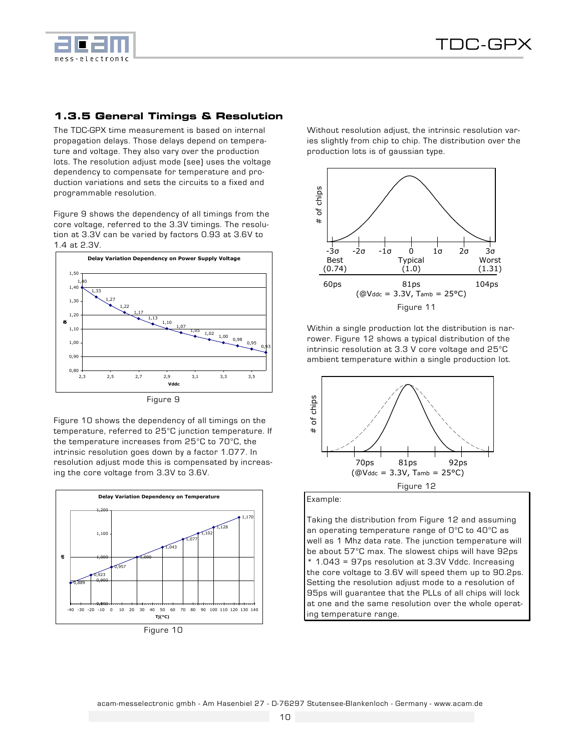<span id="page-9-0"></span>

# 1.3.5 General Timings & Resolution

The TDC-GPX time measurement is based on internal propagation delays. Those delays depend on temperature and voltage. They also vary over the production lots. The resolution adjust mode (see) uses the voltage dependency to compensate for temperature and production variations and sets the circuits to a fixed and programmable resolution.

Figure 9 shows the dependency of all timings from the core voltage, referred to the 3.3V timings. The resolution at 3.3V can be varied by factors 0.93 at 3.6V to 1.4 at 2.3V.



Figure 9

Figure 10 shows the dependency of all timings on the temperature, referred to 25°C junction temperature. If the temperature increases from 25°C to 70°C, the intrinsic resolution goes down by a factor 1.077. In resolution adjust mode this is compensated by increasing the core voltage from 3.3V to 3.6V.



Without resolution adjust, the intrinsic resolution varies slightly from chip to chip. The distribution over the production lots is of gaussian type.



Within a single production lot the distribution is narrower. Figure 12 shows a typical distribution of the intrinsic resolution at 3.3 V core voltage and 25°C ambient temperature within a single production lot.



#### Example:

Taking the distribution from Figure 12 and assuming an operating temperature range of O°C to 40°C as well as 1 Mhz data rate. The junction temperature will be about 57°C max. The slowest chips will have 92ps \* 1.043 = 97ps resolution at 3.3V Vddc. Increasing the core voltage to 3.6V will speed them up to 90.2ps. Setting the resolution adjust mode to a resolution of 95ps will guarantee that the PLLs of all chips will lock at one and the same resolution over the whole operating temperature range.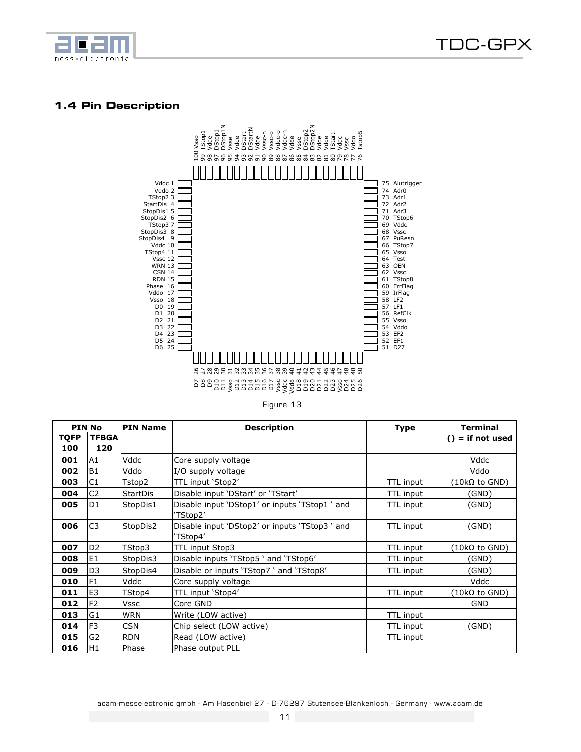<span id="page-10-0"></span>

# 1.4 Pin Description



Figure 13

|             | <b>PIN No</b>  | <b>PIN Name</b> | <b>Description</b>                                         | <b>Type</b>      | <b>Terminal</b>       |
|-------------|----------------|-----------------|------------------------------------------------------------|------------------|-----------------------|
| <b>TQFP</b> | <b>TFBGA</b>   |                 |                                                            |                  | $()$ = if not used    |
| 100         | 120            |                 |                                                            |                  |                       |
| 001         | A1             | Vddc            | Core supply voltage                                        |                  | Vddc                  |
| 002         | B <sub>1</sub> | Vddo            | I/O supply voltage                                         |                  | Vddo                  |
| 003         | C1             | Tstop2          | TTL input 'Stop2'                                          | <b>TTL</b> input | $(10k\Omega$ to GND)  |
| 004         | C <sub>2</sub> | StartDis        | Disable input 'DStart' or 'TStart'                         | <b>TTL</b> input | (GND)                 |
| 005         | D <sub>1</sub> | StopDis1        | Disable input 'DStop1' or inputs 'TStop1 ' and<br>'TStop2' | <b>TTL</b> input | (GND)                 |
| 006         | C <sub>3</sub> | StopDis2        | Disable input 'DStop2' or inputs 'TStop3 ' and<br>'TStop4' | <b>TTL</b> input | (GND)                 |
| 007         | D <sub>2</sub> | TStop3          | TTL input Stop3                                            | TTL input        | (10k $\Omega$ to GND) |
| 008         | E <sub>1</sub> | StopDis3        | Disable inputs 'TStop5 ' and 'TStop6'                      | <b>TTL</b> input | (GND)                 |
| 009         | D <sub>3</sub> | StopDis4        | Disable or inputs 'TStop7 ' and 'TStop8'                   | <b>TTL</b> input | (GND)                 |
| 010         | F <sub>1</sub> | Vddc            | Core supply voltage                                        |                  | Vddc                  |
| 011         | E <sub>3</sub> | TStop4          | TTL input 'Stop4'                                          | <b>TTL</b> input | (10k $\Omega$ to GND) |
| 012         | F <sub>2</sub> | Vssc            | Core GND                                                   |                  | <b>GND</b>            |
| 013         | G <sub>1</sub> | <b>WRN</b>      | Write (LOW active)                                         | <b>TTL</b> input |                       |
| 014         | F <sub>3</sub> | <b>CSN</b>      | Chip select (LOW active)                                   | TTL input        | (GND)                 |
| 015         | G <sub>2</sub> | <b>RDN</b>      | Read (LOW active)                                          | TTL input        |                       |
| 016         | H <sub>1</sub> | Phase           | Phase output PLL                                           |                  |                       |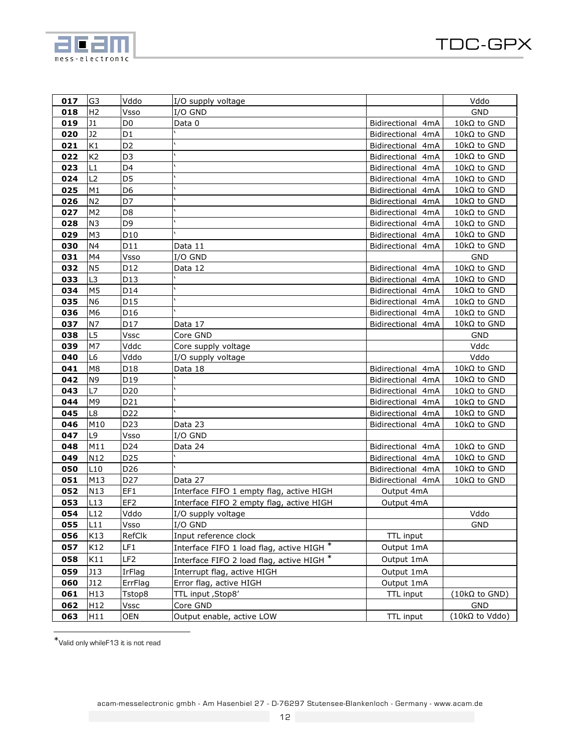

| 017        | G <sub>3</sub> | Vddo            | I/O supply voltage                        |                                        | Vddo                  |
|------------|----------------|-----------------|-------------------------------------------|----------------------------------------|-----------------------|
| 018        | H <sub>2</sub> | Vsso            | I/O GND                                   |                                        | <b>GND</b>            |
| 019        | J1             | D <sub>0</sub>  | Data 0                                    | Bidirectional 4mA                      | $10k\Omega$ to GND    |
| 020        | J2             | D1              |                                           | Bidirectional 4mA                      | $10k\Omega$ to GND    |
| 021        | K1             | D <sub>2</sub>  |                                           | Bidirectional 4mA                      | $10k\Omega$ to GND    |
| 022        | K <sub>2</sub> | D <sub>3</sub>  |                                           | Bidirectional 4mA                      | $10k\Omega$ to GND    |
| 023        | L1             | D <sub>4</sub>  |                                           | Bidirectional 4mA                      | $10k\Omega$ to GND    |
| 024        | L2             | D <sub>5</sub>  |                                           | Bidirectional 4mA                      | $10k\Omega$ to GND    |
| 025        | M1             | D <sub>6</sub>  |                                           | Bidirectional 4mA                      | $10k\Omega$ to GND    |
| 026        | N <sub>2</sub> | D7              |                                           | Bidirectional 4mA                      | $10k\Omega$ to GND    |
| 027        | M <sub>2</sub> | D <sub>8</sub>  |                                           | Bidirectional 4mA                      | $10k\Omega$ to GND    |
| 028        | N <sub>3</sub> | D <sub>9</sub>  |                                           | Bidirectional 4mA                      | $10k\Omega$ to GND    |
| 029        | M <sub>3</sub> | D10             |                                           | Bidirectional 4mA                      | $10k\Omega$ to GND    |
| 030        | N <sub>4</sub> | D11             | Data 11                                   | Bidirectional 4mA                      | $10k\Omega$ to GND    |
| 031        | M4             | Vsso            | I/O GND                                   |                                        | <b>GND</b>            |
| 032        | N <sub>5</sub> | D12             | Data 12                                   | Bidirectional 4mA                      | 10k $\Omega$ to GND   |
| 033        | L3             | D13             |                                           | Bidirectional 4mA                      | $10k\Omega$ to GND    |
| 034        | M5             | D14             |                                           | Bidirectional 4mA                      | $10k\Omega$ to GND    |
| 035        | N <sub>6</sub> | D15             |                                           | Bidirectional 4mA                      | $10k\Omega$ to GND    |
| 036        | M <sub>6</sub> | D16             |                                           | Bidirectional 4mA                      | $10k\Omega$ to GND    |
| 037        | N7             | D17             | Data 17                                   | Bidirectional 4mA                      | $10k\Omega$ to GND    |
| 038        | L5             | Vssc            | Core GND                                  |                                        | <b>GND</b>            |
| 039        | M7             | Vddc            | Core supply voltage                       |                                        | Vddc                  |
| 040        | L6             | Vddo            | I/O supply voltage                        |                                        | Vddo                  |
| 041        | M <sub>8</sub> | D18             | Data 18                                   | Bidirectional 4mA                      | $10k\Omega$ to GND    |
| 042        | N <sub>9</sub> | D19             |                                           | Bidirectional 4mA                      | $10k\Omega$ to GND    |
| 043        | L7             | D20             |                                           | Bidirectional 4mA                      | $10k\Omega$ to GND    |
| 044        | M9             | D21             |                                           | Bidirectional 4mA                      | $10k\Omega$ to GND    |
| 045        | L8             | D22             |                                           | Bidirectional 4mA                      | $10k\Omega$ to GND    |
| 046        | M10            | D23             | Data 23                                   | Bidirectional 4mA                      | $10k\Omega$ to GND    |
| 047<br>048 | L9<br>M11      | Vsso<br>D24     | I/O GND                                   |                                        | $10k\Omega$ to GND    |
| 049        | N12            | D25             | Data 24                                   | Bidirectional 4mA<br>Bidirectional 4mA | $10k\Omega$ to GND    |
| 050        | L10            | D26             |                                           | Bidirectional 4mA                      | $10k\Omega$ to GND    |
| 051        | M13            | D27             | Data 27                                   | Bidirectional 4mA                      | $10k\Omega$ to GND    |
| 052        | N13            | EF1             | Interface FIFO 1 empty flag, active HIGH  | Output 4mA                             |                       |
| 053        | L13            | EF <sub>2</sub> | Interface FIFO 2 empty flag, active HIGH  | Output 4mA                             |                       |
| 054        | L12            | Vddo            | I/O supply voltage                        |                                        | Vddo                  |
| 055        | L11            | Vsso            | I/O GND                                   |                                        | GND                   |
| 056        | K13            | RefClk          | Input reference clock                     | <b>TTL</b> input                       |                       |
| 057        | K12            | LF1             | Interface FIFO 1 load flag, active HIGH * | Output 1mA                             |                       |
| 058        | K11            | LF <sub>2</sub> | Interface FIFO 2 load flag, active HIGH * | Output 1mA                             |                       |
| 059        | <b>J13</b>     | IrFlag          | Interrupt flag, active HIGH               | Output 1mA                             |                       |
| 060        | <b>J12</b>     | ErrFlag         | Error flag, active HIGH                   | Output 1mA                             |                       |
| 061        | H13            | Tstop8          | TTL input, Stop8'                         | <b>TTL</b> input                       | $(10k\Omega$ to GND)  |
| 062        | H12            | Vssc            | Core GND                                  |                                        | GND                   |
| 063        | H11            | OEN             | Output enable, active LOW                 | <b>TTL</b> input                       | $(10k\Omega$ to Vddo) |

∗ Valid only whileF13 it is not read

l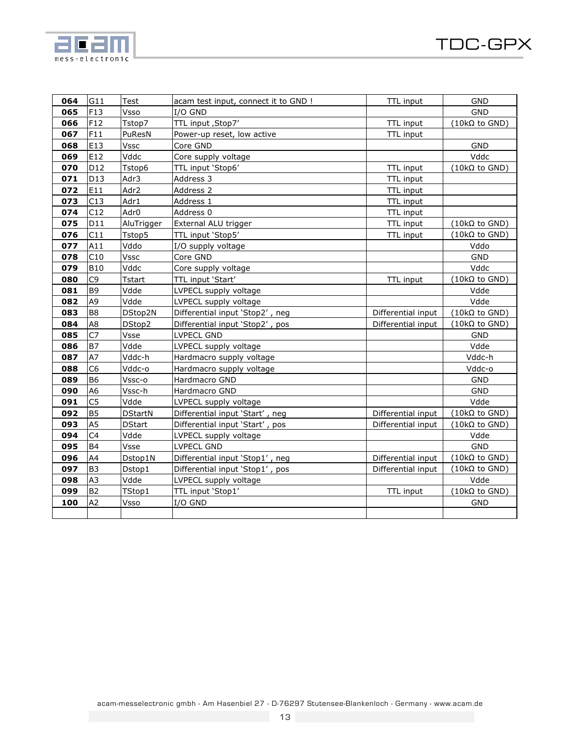

| 064 | G11            | <b>Test</b>    | acam test input, connect it to GND ! | <b>TTL</b> input   | <b>GND</b>           |
|-----|----------------|----------------|--------------------------------------|--------------------|----------------------|
| 065 | F13            | Vsso           | I/O GND                              |                    | <b>GND</b>           |
| 066 | F12            | Tstop7         | TTL input, Stop7'                    | TTL input          | $(10k\Omega$ to GND) |
| 067 | F11            | PuResN         | Power-up reset, low active           | <b>TTL</b> input   |                      |
| 068 | E13            | <b>Vssc</b>    | Core GND                             |                    | <b>GND</b>           |
| 069 | E12            | Vddc           | Core supply voltage                  |                    | Vddc                 |
| 070 | D12            | Tstop6         | TTL input 'Stop6'                    | <b>TTL</b> input   | $(10k\Omega$ to GND) |
| 071 | D13            | Adr3           | Address 3                            | <b>TTL</b> input   |                      |
| 072 | E11            | Adr2           | Address 2                            | TTL input          |                      |
| 073 | C13            | Adr1           | Address 1                            | TTL input          |                      |
| 074 | C12            | Adr0           | Address 0                            | TTL input          |                      |
| 075 | D11            | AluTrigger     | External ALU trigger                 | TTL input          | $(10k\Omega$ to GND) |
| 076 | C11            | Tstop5         | TTL input 'Stop5'                    | <b>TTL</b> input   | $(10k\Omega$ to GND) |
| 077 | A11            | Vddo           | I/O supply voltage                   |                    | Vddo                 |
| 078 | C10            | Vssc           | Core GND                             |                    | <b>GND</b>           |
| 079 | <b>B10</b>     | Vddc           | Core supply voltage                  |                    | Vddc                 |
| 080 | C <sub>9</sub> | Tstart         | TTL input 'Start'                    | TTL input          | $(10k\Omega$ to GND) |
| 081 | B <sub>9</sub> | Vdde           | LVPECL supply voltage                |                    | Vdde                 |
| 082 | A <sub>9</sub> | Vdde           | LVPECL supply voltage                |                    | Vdde                 |
| 083 | B <sub>8</sub> | DStop2N        | Differential input 'Stop2', neg      | Differential input | $(10k\Omega$ to GND) |
| 084 | A8             | DStop2         | Differential input 'Stop2', pos      | Differential input | $(10k\Omega$ to GND) |
| 085 | C <sub>7</sub> | Vsse           | LVPECL GND                           |                    | GND                  |
| 086 | <b>B7</b>      | Vdde           | LVPECL supply voltage                |                    | Vdde                 |
| 087 | A7             | Vddc-h         | Hardmacro supply voltage             |                    | Vddc-h               |
| 088 | C <sub>6</sub> | Vddc-o         | Hardmacro supply voltage             |                    | Vddc-o               |
| 089 | <b>B6</b>      | Vssc-o         | Hardmacro GND                        |                    | <b>GND</b>           |
| 090 | A <sub>6</sub> | Vssc-h         | Hardmacro GND                        |                    | <b>GND</b>           |
| 091 | C <sub>5</sub> | Vdde           | LVPECL supply voltage                |                    | Vdde                 |
| 092 | <b>B5</b>      | <b>DStartN</b> | Differential input 'Start', neg      | Differential input | $(10k\Omega$ to GND) |
| 093 | A <sub>5</sub> | DStart         | Differential input 'Start', pos      | Differential input | $(10k\Omega$ to GND) |
| 094 | C <sub>4</sub> | Vdde           | LVPECL supply voltage                |                    | Vdde                 |
| 095 | <b>B4</b>      | Vsse           | LVPECL GND                           |                    | <b>GND</b>           |
| 096 | A4             | Dstop1N        | Differential input 'Stop1', neg      | Differential input | $(10k\Omega$ to GND) |
| 097 | B <sub>3</sub> | Dstop1         | Differential input 'Stop1', pos      | Differential input | $(10k\Omega$ to GND) |
| 098 | A3             | Vdde           | LVPECL supply voltage                |                    | Vdde                 |
| 099 | B <sub>2</sub> | TStop1         | TTL input 'Stop1'                    | TTL input          | $(10k\Omega$ to GND) |
| 100 | A <sub>2</sub> | Vsso           | I/O GND                              |                    | GND                  |
|     |                |                |                                      |                    |                      |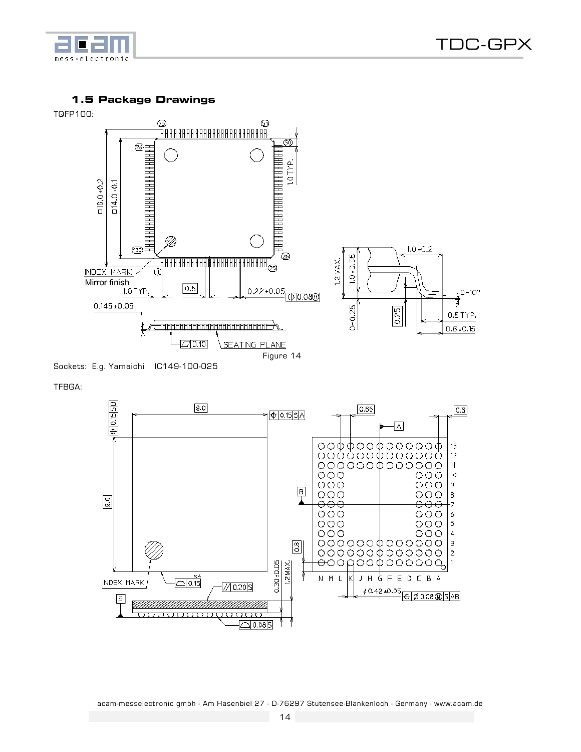<span id="page-13-0"></span>

# 1.5 Package Drawings

TQFP100:



Sockets: E.g. Yamaichi IC149-100-025

TFBGA:

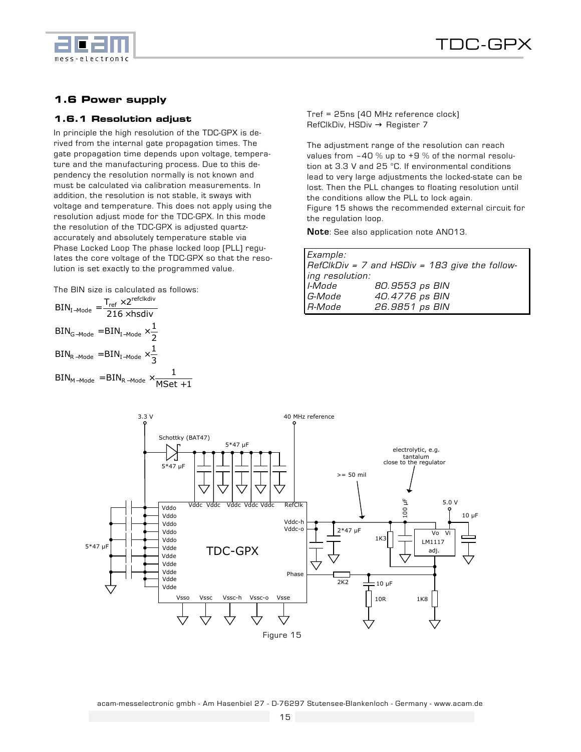<span id="page-14-0"></span>

# 1.6 Power supply

#### 1.6.1 Resolution adjust

In principle the high resolution of the TDC-GPX is derived from the internal gate propagation times. The gate propagation time depends upon voltage, temperature and the manufacturing process. Due to this dependency the resolution normally is not known and must be calculated via calibration measurements. In addition, the resolution is not stable, it sways with voltage and temperature. This does not apply using the resolution adjust mode for the TDC-GPX. In this mode the resolution of the TDC-GPX is adjusted quartzaccurately and absolutely temperature stable via Phase Locked Loop The phase locked loop (PLL) regulates the core voltage of the TDC-GPX so that the resolution is set exactly to the programmed value.

The BIN size is calculated as follows:

 $\text{BIN}_{\text{I-Mode}} = \frac{T_{\text{ref}} \times 2^{\text{refclkdiv}}}{216 \times \text{hsdiv}}$  $-$ Mode =  $\frac{T_{ref} \times T_{ref}}{216}$  $\text{BIN}_{\mathsf{G-Mode}} = \text{BIN}_{\text{I-Mode}} \times \frac{1}{2}$  $\text{BIN}_{\text{R-Mode}} = \text{BIN}_{\text{I-Mode}} \times \frac{1}{3}$  $\mathsf{BIN_{M-Mode}} = \mathsf{BIN_{R-Mode}} \times \frac{1}{\mathsf{MSet} + 1}$  Tref = 25ns (40 MHz reference clock) RefClkDiv, HSDiv → Register 7

The adjustment range of the resolution can reach values from –40 % up to +9 % of the normal resolution at 3.3 V and 25 °C. If environmental conditions lead to very large adjustments the locked-state can be lost. Then the PLL changes to floating resolution until the conditions allow the PLL to lock again. Figure 15 shows the recommended external circuit for the regulation loop.

**Note**: See also application note AN013.

| Example:        |                                                |
|-----------------|------------------------------------------------|
|                 | RefCIkDiv = 7 and HSDiv = 183 give the follow- |
| ing resolution: |                                                |
| l-Mode          | 80.9553 ps BIN                                 |
| G-Mode          | 40.4776 ps BIN                                 |
| R-Mode          | 26.9851 ps BIN                                 |

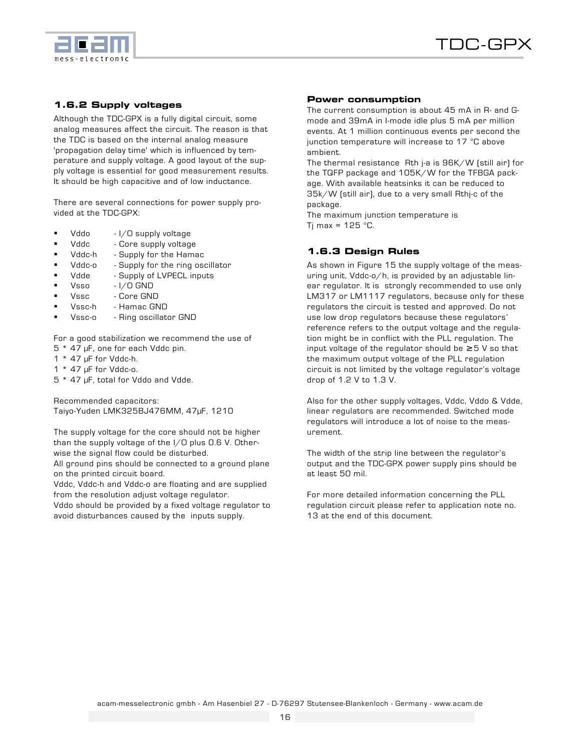<span id="page-15-0"></span>

#### 1.6.2 Supply voltages

Although the TDC-GPX is a fully digital circuit, some analog measures affect the circuit. The reason is that the TDC is based on the internal analog measure 'propagation delay time' which is influenced by temperature and supply voltage. A good layout of the supply voltage is essential for good measurement results. It should be high capacitive and of low inductance.

There are several connections for power supply provided at the TDC-GPX:

- Vddo I/O supply voltage
- Vddc Core supply voltage
- Vddc-h Supply for the Hamac
- Vddc-o Supply for the ring oscillator
- Vdde Supply of LVPECL inputs
- Vsso I/O GND
- Vssc Core GND
- Vssc-h Hamac GND
- Vssc-o Ring oscillator GND

For a good stabilization we recommend the use of

- 5 \* 47 µF, one for each Vddc pin.
- 1 \* 47 µF for Vddc-h.
- 1 \* 47 µF for Vddc-o.
- 5 \* 47 µF, total for Vddo and Vdde.

Recommended capacitors: Taiyo-Yuden LMK325BJ476MM, 47µF, 1210

The supply voltage for the core should not be higher than the supply voltage of the I/O plus 0.6 V. Otherwise the signal flow could be disturbed.

All ground pins should be connected to a ground plane on the printed circuit board.

Vddc, Vddc-h and Vddc-o are floating and are supplied from the resolution adjust voltage regulator.

Vddo should be provided by a fixed voltage regulator to avoid disturbances caused by the inputs supply.

#### Power consumption

The current consumption is about 45 mA in R- and Gmode and 39mA in I-mode idle plus 5 mA per million events. At 1 million continuous events per second the junction temperature will increase to 17 °C above ambient.

The thermal resistance Rth j-a is 96K/W (still air) for the TQFP package and 105K/W for the TFBGA package. With available heatsinks it can be reduced to 35k/W (still air), due to a very small Rthj-c of the package.

The maximum junction temperature is Tj max =  $125$  °C.

#### 1.6.3 Design Rules

As shown in Figure 15 the supply voltage of the measuring unit, Vddc-o/h, is provided by an adjustable linear regulator. It is strongly recommended to use only LM317 or LM1117 regulators, because only for these regulators the circuit is tested and approved. Do not use low drop regulators because these regulators' reference refers to the output voltage and the regulation might be in conflict with the PLL regulation. The input voltage of the regulator should be  $\geq 5$  V so that the maximum output voltage of the PLL regulation circuit is not limited by the voltage regulator's voltage drop of 1.2 V to 1.3 V.

Also for the other supply voltages, Vddc, Vddo & Vdde, linear regulators are recommended. Switched mode regulators will introduce a lot of noise to the measurement.

The width of the strip line between the regulator's output and the TDC-GPX power supply pins should be at least 50 mil.

For more detailed information concerning the PLL regulation circuit please refer to application note no. 13 at the end of this document.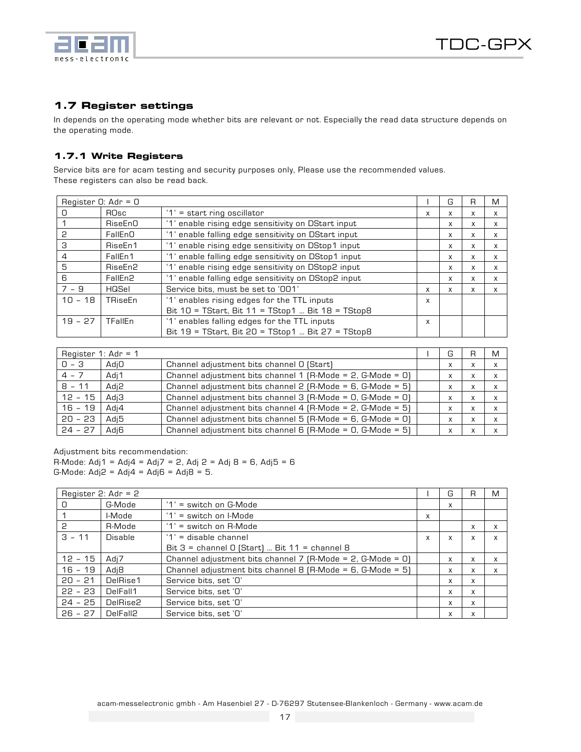<span id="page-16-0"></span>

# 1.7 Register settings

In depends on the operating mode whether bits are relevant or not. Especially the read data structure depends on the operating mode.

# 1.7.1 Write Registers

Service bits are for acam testing and security purposes only, Please use the recommended values. These registers can also be read back.

|           | Register O: $Adr = 0$ |                                                         |   | G | R | M |
|-----------|-----------------------|---------------------------------------------------------|---|---|---|---|
|           | <b>ROsc</b>           | $'1'$ = start ring oscillator                           | X | x | x | X |
|           | <b>RiseEnO</b>        | enable rising edge sensitivity on DStart input          |   | x | х | X |
| 2         | FallEnO               | '1' enable falling edge sensitivity on DStart input     |   | x | x | x |
| 3         | RiseEn1               | '1' enable rising edge sensitivity on DStop1 input      |   | x | x | X |
| 4         | FallEn1               | '1' enable falling edge sensitivity on DStop1 input     |   | х | x | X |
| 5         | RiseEn2               | '1' enable rising edge sensitivity on DStop2 input      |   | x | x | x |
| 6         | FallEn <sub>2</sub>   | '1' enable falling edge sensitivity on DStop2 input     |   | x | x | x |
| $7 - 9$   | HQSel                 | Service bits, must be set to '001'                      | X | x | x | x |
| $10 - 18$ | TRiseEn               | '1' enables rising edges for the TTL inputs             | X |   |   |   |
|           |                       | Bit $10 = TStart$ , Bit $11 = TStop1$ Bit $18 = TStop8$ |   |   |   |   |
| $19 - 27$ | TFallEn               | '1' enables falling edges for the TTL inputs            | X |   |   |   |
|           |                       | Bit $19$ = TStart, Bit $20$ = TStop1  Bit $27$ = TStop8 |   |   |   |   |

| Register 1: $Adr = 1$ |      |                                                                  |  |   | R            | M |
|-----------------------|------|------------------------------------------------------------------|--|---|--------------|---|
| $0 - 3$               | AdjO | Channel adjustment bits channel O (Start)                        |  | x |              |   |
| $4 - 7$               | Adj1 | Channel adjustment bits channel 1 (R-Mode = 2, G-Mode = 0)       |  | x | x            |   |
| $8 - 11$              | Adj2 | Channel adjustment bits channel 2 (R-Mode = 6, G-Mode = $5$ )    |  | x | x            |   |
| $12 - 15$             | Adi3 | Channel adjustment bits channel 3 (R-Mode = $0$ , G-Mode = 0)    |  | x | x            |   |
| $16 - 19$             | Adi4 | Channel adjustment bits channel 4 (R-Mode = 2, G-Mode = $5$ )    |  | x | $\checkmark$ |   |
| $20 - 23$             | Adi5 | Channel adjustment bits channel 5 (R-Mode = 6, G-Mode = 0)       |  | x | $\checkmark$ |   |
| $24 - 27$             | Adi6 | Channel adjustment bits channel 6 (R-Mode = $0, G$ -Mode = $5$ ) |  |   |              |   |

Adjustment bits recommendation:

R-Mode: Adj1 = Adj4 = Adj7 = 2, Adj 2 = Adj 8 = 6, Adj5 = 6  $G$ -Mode: Adj $2 = Adj4 = Adj6 = Adj8 = 5$ .

| Register 2: $Adr = 2$ |                |                                                                  |   | G | R | M |
|-----------------------|----------------|------------------------------------------------------------------|---|---|---|---|
|                       | G-Mode         | $'1'$ = switch on G-Mode                                         |   | X |   |   |
|                       | I-Mode         | $'1'$ = switch on I-Mode                                         | X |   |   |   |
| 2                     | R-Mode         | $'1'$ = switch on R-Mode                                         |   |   | x | X |
| $3 - 11$              | <b>Disable</b> | $'1'$ = disable channel                                          | X | X | x | X |
|                       |                | Bit $3 =$ channel O (Start)  Bit $11 =$ channel 8                |   |   |   |   |
| $12 - 15$             | Adi7           | Channel adjustment bits channel 7 (R-Mode = 2, G-Mode = 0)       |   | x | x | X |
| $16 - 19$             | Adj8           | Channel adjustment bits channel 8 (R-Mode = $6$ , G-Mode = $5$ ) |   | x | x | X |
| $20 - 21$             | DelRise1       | Service bits, set 'O'                                            |   | X | X |   |
| $22 - 23$             | DelFall1       | Service bits, set 'O'                                            |   | x | x |   |
| $24 - 25$             | DelRise2       | Service bits, set 'O'                                            |   | x | x |   |
| $26 - 27$             | DelFall2       | Service bits, set 'O'                                            |   | x | x |   |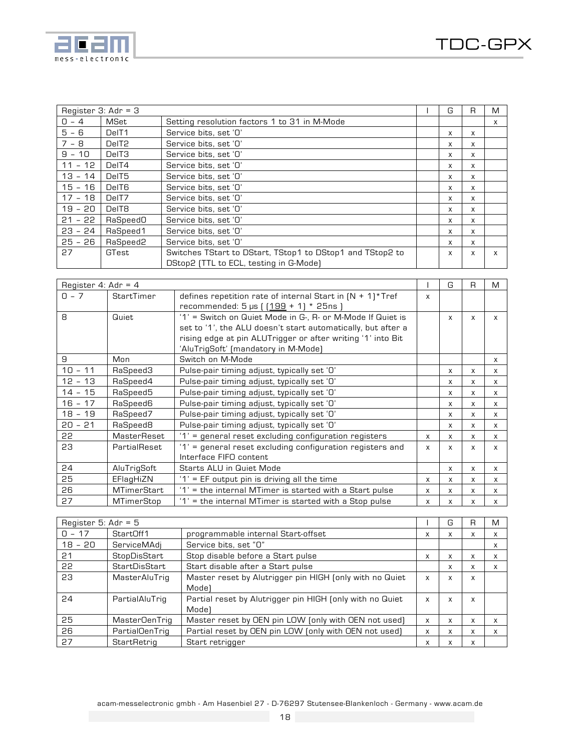

| Register $3:$ Adr = $3$ |                   |                                                                                                     | G | R | M  |
|-------------------------|-------------------|-----------------------------------------------------------------------------------------------------|---|---|----|
| $0 - 4$                 | MSet              | Setting resolution factors 1 to 31 in M-Mode                                                        |   |   | X. |
| $5 - 6$                 | DelT1             | Service bits, set 'O'                                                                               | X | x |    |
| $7 - 8$                 | DelT <sub>2</sub> | Service bits, set 'O'                                                                               | x | x |    |
| $9 - 10$                | DelT <sub>3</sub> | Service bits, set 'O'                                                                               | X | x |    |
| $11 - 12$               | DelT4             | Service bits, set 'O'                                                                               | x | X |    |
| $13 - 14$               | DelT5             | Service bits, set 'O'                                                                               | x | x |    |
| $15 - 16$               | DelT6             | Service bits, set 'O'                                                                               | x | x |    |
| $17 - 18$               | DelT7             | Service bits, set 'O'                                                                               | x | x |    |
| $19 - 20$               | DelT8             | Service bits, set 'O'                                                                               | x | X |    |
| $21 - 22$               | RaSpeedO          | Service bits, set 'O'                                                                               | x | x |    |
| $23 - 24$               | RaSpeed1          | Service bits, set 'O'                                                                               | X | x |    |
| $25 - 26$               | RaSpeed2          | Service bits, set 'O'                                                                               | X | x |    |
| 27                      | GTest             | Switches TStart to DStart, TStop1 to DStop1 and TStop2 to<br>DStop2 (TTL to ECL, testing in G-Mode) | x | x | x  |
|                         |                   |                                                                                                     |   |   |    |

| Register 4: $Adr = 4$ |                    |                                                                                     |          | G | R | M |
|-----------------------|--------------------|-------------------------------------------------------------------------------------|----------|---|---|---|
| $0 - 7$               | StartTimer         | defines repetition rate of internal Start in $(N + 1)*Tref$                         | $\times$ |   |   |   |
|                       |                    | recommended: $5 \,\mathrm{\upmu s}$ ( $\left( \frac{199}{192} + 1 \right)$ * 25ns ) |          |   |   |   |
| <sup>8</sup>          | Quiet              | '1' = Switch on Quiet Mode in G-, R- or M-Mode If Quiet is                          |          | x | x | X |
|                       |                    | set to '1', the ALU doesn't start automatically, but after a                        |          |   |   |   |
|                       |                    | rising edge at pin ALUTrigger or after writing '1' into Bit                         |          |   |   |   |
|                       |                    | 'AluTrigSoft' (mandatory in M-Mode)                                                 |          |   |   |   |
| 9                     | Mon                | Switch on M-Mode                                                                    |          |   |   | X |
| $10 - 11$             | RaSpeed3           | Pulse-pair timing adjust, typically set 'O'                                         |          | x | X | x |
| $12 - 13$             | RaSpeed4           | Pulse-pair timing adjust, typically set 'O'                                         |          | x | x | x |
| $14 - 15$             | RaSpeed5           | Pulse-pair timing adjust, typically set 'O'                                         |          | x | x | х |
| $16 - 17$             | RaSpeed6           | Pulse-pair timing adjust, typically set 'O'                                         |          | x | x | X |
| $18 - 19$             | RaSpeed7           | Pulse-pair timing adjust, typically set 'O'                                         |          | x | x | X |
| $20 - 21$             | RaSpeed8           | Pulse-pair timing adjust, typically set 'O'                                         |          | X | x | X |
| 22                    | MasterReset        | '1' = general reset excluding configuration registers                               | X        | X | X | X |
| 23                    | PartialReset       | '1' = general reset excluding configuration registers and                           | X        | x | x | X |
|                       |                    | Interface FIFO content                                                              |          |   |   |   |
| 24                    | AluTrigSoft        | Starts ALU in Quiet Mode                                                            |          | X | x | X |
| 25                    | EFlagHiZN          | $'1'$ = EF output pin is driving all the time                                       | x        | X | X | X |
| 26                    | <b>MTimerStart</b> | $1'$ = the internal MTimer is started with a Start pulse                            | x        | x | x | X |
| 27                    | MTimerStop         | $'1'$ = the internal MTimer is started with a Stop pulse                            | x        | х | x | х |

| Register 5: $Adr = 5$ |                      |                                                                   |   | G | R | M |
|-----------------------|----------------------|-------------------------------------------------------------------|---|---|---|---|
| $0 - 17$              | StartOff1            | programmable internal Start-offset                                | x | x | x |   |
| $18 - 20$             | ServiceMAdi          | Service bits, set "O"                                             |   |   |   |   |
| 21                    | StopDisStart         | Stop disable before a Start pulse                                 | x | x | x |   |
| 22                    | <b>StartDisStart</b> | Start disable after a Start pulse                                 |   | x | x |   |
| 23                    | MasterAluTrig        | Master reset by Alutrigger pin HIGH (only with no Quiet<br>Model  | x | x | x |   |
| 24                    | PartialAluTrig       | Partial reset by Alutrigger pin HIGH (only with no Quiet<br>Mode) | X | x | x |   |
| 25                    | MasterOenTrig        | Master reset by OEN pin LOW (only with OEN not used)              | X | x | x | x |
| 26                    | PartialOenTrig       | Partial reset by OEN pin LOW (only with OEN not used)             | x | x | x |   |
| 27                    | StartRetrig          | Start retrigger                                                   | x | x | x |   |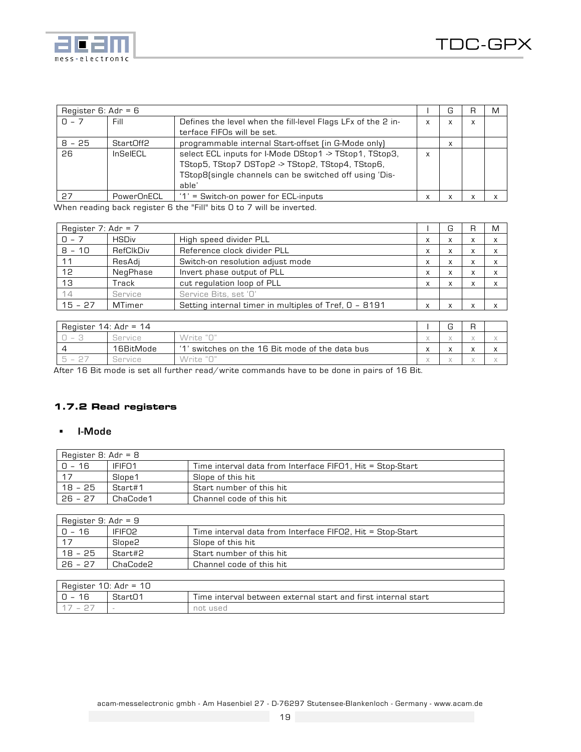<span id="page-18-0"></span>

| Register 6: $Adr = 6$ |            |                                                              |   | G | M |
|-----------------------|------------|--------------------------------------------------------------|---|---|---|
| $0 - 7$               | Fill       | Defines the level when the fill-level Flags LFx of the 2 in- | X | x |   |
|                       |            | terface FIFOs will be set.                                   |   |   |   |
| $8 - 25$              | StartOff2  | programmable internal Start-offset (in G-Mode only)          |   | x |   |
| 26                    | InSelECL   | select ECL inputs for I-Mode DStop1 -> TStop1, TStop3,       | x |   |   |
|                       |            | TStop5, TStop7 DSTop2 -> TStop2, TStop4, TStop6,             |   |   |   |
|                       |            | TStop8(single channels can be switched off using 'Dis-       |   |   |   |
|                       |            | able'                                                        |   |   |   |
| 27                    | PowerOnECL | $'1'$ = Switch-on power for ECL-inputs                       |   |   |   |

When reading back register 6 the "Fill" bits 0 to 7 will be inverted.

| Register 7: $Adr = 7$ |              |                                                       |                   | G                 |              | M |
|-----------------------|--------------|-------------------------------------------------------|-------------------|-------------------|--------------|---|
| $0 - 7$               | <b>HSDiv</b> | High speed divider PLL                                | $\checkmark$<br>ж | $\checkmark$<br>л |              |   |
| $8 - 10$              | RefClkDiv    | Reference clock divider PLL                           | x                 | x                 | $\sim$       |   |
| 11                    | ResAdi       | Switch-on resolution adjust mode                      | x                 | $\checkmark$<br>v | $\sim$       |   |
| 12                    | NegPhase     | Invert phase output of PLL                            | x                 | X                 | $\mathbf{v}$ | X |
| 13                    | Track        | cut regulation loop of PLL                            | $\checkmark$      | x                 |              |   |
| 14                    | Service      | Service Bits, set 'O'                                 |                   |                   |              |   |
| $15 - 27$             | MTimer       | Setting internal timer in multiples of Tref, 0 - 8191 |                   | $\lambda$         |              |   |

| Register 14: $Adr = 14$ |           |                                                   |           |  |  |
|-------------------------|-----------|---------------------------------------------------|-----------|--|--|
| $\sim$                  | Service   | Write"∩"                                          |           |  |  |
|                         | 16BitMode | 41<br>switches on the 16 Bit mode of the data bus | $\lambda$ |  |  |
| $\sim$                  | Service   | Write"∩"                                          |           |  |  |

After 16 Bit mode is set all further read/write commands have to be done in pairs of 16 Bit.

## 1.7.2 Read registers

#### **I-Mode**

|            | Register 8: $Adr = 8$ |                                                           |  |  |
|------------|-----------------------|-----------------------------------------------------------|--|--|
| $0 - 16$   | IFIFO <sub>1</sub>    | Time interval data from Interface FIFO1, Hit = Stop-Start |  |  |
|            | Slope 1               | Slope of this hit                                         |  |  |
| 18 - 25    | Start#1               | Start number of this hit                                  |  |  |
| $-26 - 27$ | ChaCode1              | Channel code of this hit                                  |  |  |

|           | Register 9: $Adr = 9$    |                                                           |  |  |
|-----------|--------------------------|-----------------------------------------------------------|--|--|
| $0 - 16$  | <b>IFIFO<sub>2</sub></b> | Time interval data from Interface FIFO2, Hit = Stop-Start |  |  |
|           | Slope2                   | Slope of this hit                                         |  |  |
| $18 - 25$ | Start#2                  | Start number of this hit                                  |  |  |
| 26 - 27   | ChaCode2                 | Channel code of this hit                                  |  |  |

| Register 10: $Adr = 10$             |         |                                                               |  |  |
|-------------------------------------|---------|---------------------------------------------------------------|--|--|
| O –                                 | Start01 | Time interval between external start and first internal start |  |  |
| $1 \t1$<br>$\overline{\phantom{0}}$ |         | not used                                                      |  |  |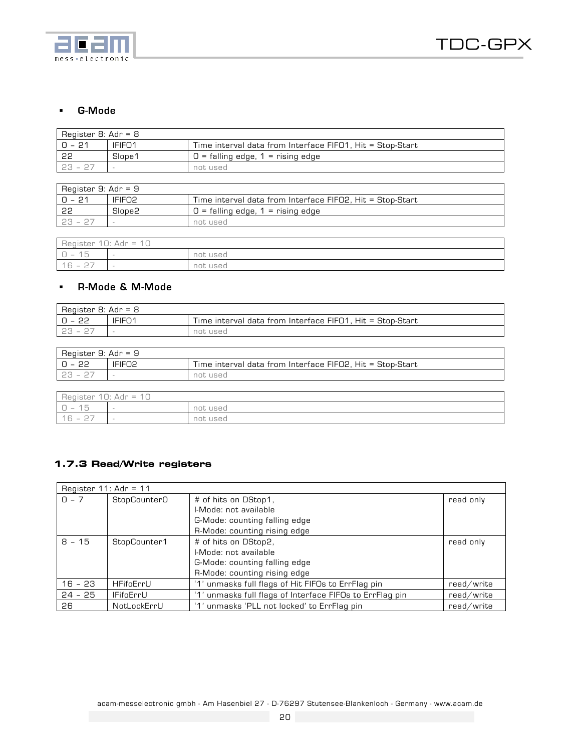<span id="page-19-0"></span>

# **G-Mode**

| Register 8: $Adr = 8$ |                    |                                                           |  |  |
|-----------------------|--------------------|-----------------------------------------------------------|--|--|
| l 0 - 21              | IFIFO <sub>1</sub> | Time interval data from Interface FIFO1, Hit = Stop-Start |  |  |
| 22                    | Slope1             | $0 =$ falling edge, $1 =$ rising edge                     |  |  |
| $23 - 2^{-}$          |                    | not used                                                  |  |  |

|                                                                                                   | Register 9: $Adr = 9$ |  |  |  |  |
|---------------------------------------------------------------------------------------------------|-----------------------|--|--|--|--|
| $0 - 21$<br><b>IFIFO<sub>2</sub></b><br>Time interval data from Interface FIFO2, Hit = Stop-Start |                       |  |  |  |  |
| -22<br>$O =$ falling edge, $1 =$ rising edge<br>Slope <sub>2</sub>                                |                       |  |  |  |  |
| $-23 - 27$<br>not used                                                                            |                       |  |  |  |  |

| $10:$ Adr = $10$<br>Register                 |  |          |  |  |
|----------------------------------------------|--|----------|--|--|
| $1 - 15$<br>$\overline{\phantom{0}}$         |  | not used |  |  |
| $\cap$<br>16<br>$\hspace{0.5cm}$<br><u>.</u> |  | not used |  |  |

# **R-Mode & M-Mode**

| Register 8: $Adr = 8$ |                    |                                                           |  |  |
|-----------------------|--------------------|-----------------------------------------------------------|--|--|
| $10 - 22$             | IFIFO <sub>1</sub> | Time interval data from Interface FIFO1, Hit = Stop-Start |  |  |
| $-23 - 2^{\circ}$     |                    | not used                                                  |  |  |

| Register 9: Adr = 9 |                    |                                                           |  |  |
|---------------------|--------------------|-----------------------------------------------------------|--|--|
| l 0 – 22            | IFIFO <sub>2</sub> | Time interval data from Interface FIFO2, Hit = Stop-Start |  |  |
| 23                  |                    | not used                                                  |  |  |

| Register 10: $Adr = 10$                                                                 |  |          |  |  |
|-----------------------------------------------------------------------------------------|--|----------|--|--|
| 15<br>` —<br>ت                                                                          |  | not used |  |  |
| 1 <sub>5</sub><br>$\overline{\phantom{0}}$<br>⇁<br>$\hspace{0.1mm}-\hspace{0.1mm}$<br>- |  | not used |  |  |

#### 1.7.3 Read/Write registers

|           | Register $11:$ Adr = 11 |                                                          |            |  |
|-----------|-------------------------|----------------------------------------------------------|------------|--|
| $0 - 7$   | StopCounter0            | # of hits on DStop1,                                     | read only  |  |
|           |                         | I-Mode: not available                                    |            |  |
|           |                         | G-Mode: counting falling edge                            |            |  |
|           |                         | R-Mode: counting rising edge                             |            |  |
| $8 - 15$  | StopCounter1            | # of hits on DStop2,                                     | read only  |  |
|           |                         | I-Mode: not available                                    |            |  |
|           |                         | G-Mode: counting falling edge                            |            |  |
|           |                         | R-Mode: counting rising edge                             |            |  |
| $16 - 23$ | HFifoErrU               | '1' unmasks full flags of Hit FIFOs to ErrFlag pin       | read/write |  |
| $24 - 25$ | <b>IFifoErrU</b>        | '1' unmasks full flags of Interface FIFOs to ErrFlag pin | read/write |  |
| 26        | NotLockErrU             | '1' unmasks 'PLL not locked' to ErrFlag pin              | read/write |  |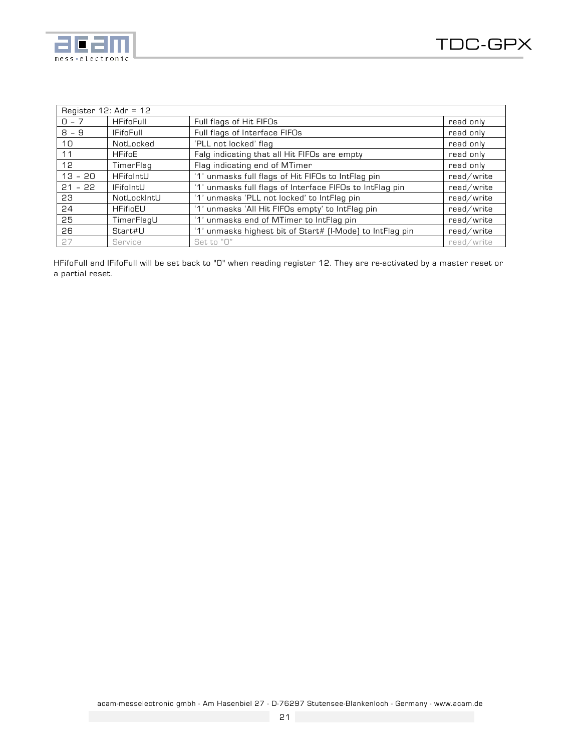

| Register $12:$ Adr = $12$ |                  |                                                           |            |
|---------------------------|------------------|-----------------------------------------------------------|------------|
| $0 - 7$                   | <b>HFifoFull</b> | Full flags of Hit FIFOs                                   | read only  |
| $8 - 9$                   | <b>IFifoFull</b> | Full flags of Interface FIFOs                             | read only  |
| 10                        | NotLocked        | 'PLL not locked' flag                                     | read only  |
| 11                        | <b>HFifoE</b>    | Falg indicating that all Hit FIFOs are empty              | read only  |
| 12                        | TimerFlag        | Flag indicating end of MTimer                             | read only  |
| $13 - 20$                 | HFifolntU        | '1' unmasks full flags of Hit FIFOs to IntFlag pin        | read/write |
| $21 - 22$                 | <b>IFifolntU</b> | '1' unmasks full flags of Interface FIFOs to IntFlag pin  | read/write |
| 23                        | NotLockIntU      | '1' unmasks 'PLL not locked' to IntFlag pin               | read/write |
| 24                        | <b>HFifioEU</b>  | '1' unmasks 'All Hit FIFOs empty' to IntFlag pin          | read/write |
| 25                        | TimerFlagU       | '1' unmasks end of MTimer to IntFlag pin                  | read/write |
| 26                        | Start#U          | '1' unmasks highest bit of Start# (I-Mode) to IntFlag pin | read/write |
| 27                        | Service          | Set to "O"                                                | read/write |

HFifoFull and IFifoFull will be set back to "0" when reading register 12. They are re-activated by a master reset or a partial reset.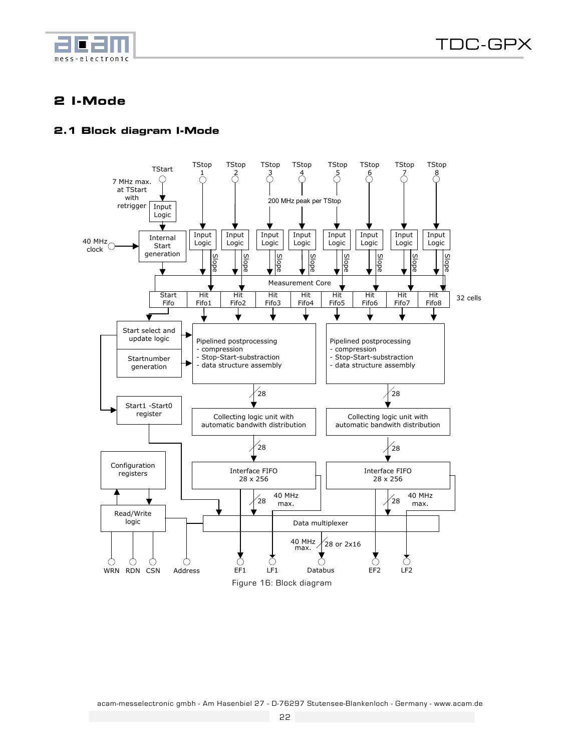<span id="page-21-0"></span>

# 2 I-Mode

# 2.1 Block diagram I-Mode

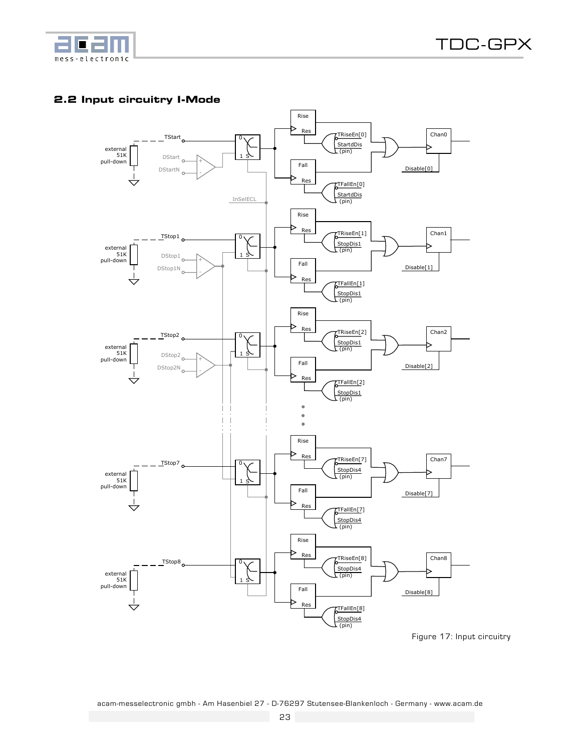<span id="page-22-0"></span>

# 2.2 Input circuitry I-Mode



Figure 17: Input circuitry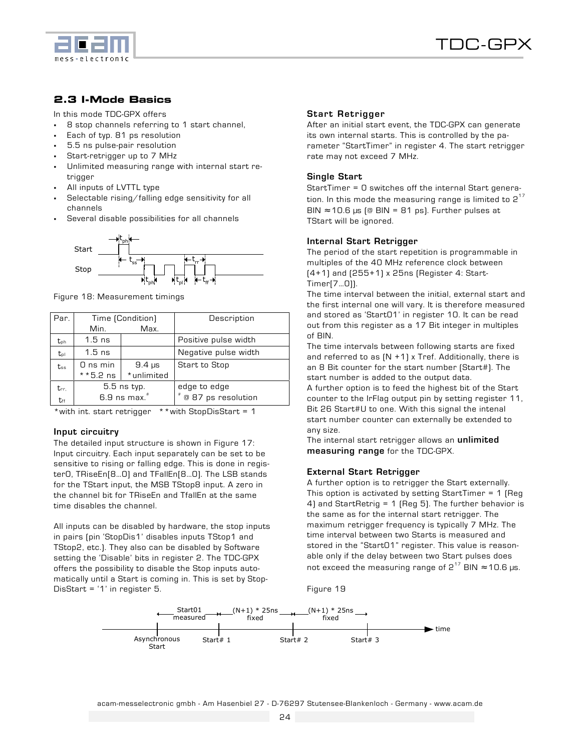<span id="page-23-0"></span>

# 2.3 I-Mode Basics

In this mode TDC-GPX offers

- 8 stop channels referring to 1 start channel,
- Each of typ. 81 ps resolution
- 5.5 ns pulse-pair resolution
- Start-retrigger up to 7 MHz
- Unlimited measuring range with internal start retrigger
- All inputs of LVTTL type
- Selectable rising/falling edge sensitivity for all channels
- Several disable possibilities for all channels



Figure 18: Measurement timings

| i Par.           | Time (Condition)  |             | Description          |
|------------------|-------------------|-------------|----------------------|
|                  | Min.              | Max.        |                      |
| t <sub>ph</sub>  | $1.5$ ns          |             | Positive pulse width |
| $t_{p1}$         | $1.5$ ns          |             | Negative pulse width |
| $t_{\rm ss}$     | 0 ns min          | $9.4 \mu s$ | Start to Stop        |
|                  | $**5.2$ ns        | *unlimited  |                      |
| t <sub>rr.</sub> | 5.5 ns typ.       |             | edge to edge         |
| tff              | $6.9$ ns max. $*$ |             | @ 87 ps resolution   |

\* with int. start retrigger  $*$ \* with StopDisStart = 1

#### **Input circuitry**

The detailed input structure is shown in Figure 17: Input circuitry. Each input separately can be set to be sensitive to rising or falling edge. This is done in register0, TRiseEn[8…0] and TFallEn[8…0]. The LSB stands for the TStart input, the MSB TStop8 input. A zero in the channel bit for TRiseEn and TfallEn at the same time disables the channel.

All inputs can be disabled by hardware, the stop inputs in pairs (pin 'StopDis1' disables inputs TStop1 and TStop2, etc.). They also can be disabled by Software setting the 'Disable' bits in register 2. The TDC-GPX offers the possibility to disable the Stop inputs automatically until a Start is coming in. This is set by Stop-DisStart = '1' in register 5.

#### **Start Retrigger**

After an initial start event, the TDC-GPX can generate its own internal starts. This is controlled by the parameter "StartTimer" in register 4. The start retrigger rate may not exceed 7 MHz.

#### **Single Start**

StartTimer = 0 switches off the internal Start generation. In this mode the measuring range is limited to  $2^{17}$ BIN  $\approx$  10.6 µs [@ BIN = 81 ps]. Further pulses at TStart will be ignored.

#### **Internal Start Retrigger**

The period of the start repetition is programmable in multiples of the 40 MHz reference clock between (4+1) and (255+1) x 25ns (Register 4: Start-Timer[7…0]).

The time interval between the initial, external start and the first internal one will vary. It is therefore measured and stored as 'Start01' in register 10. It can be read out from this register as a 17 Bit integer in multiples of BIN.

The time intervals between following starts are fixed and referred to as  $[N + 1]$  x Tref. Additionally, there is an 8 Bit counter for the start number (Start#). The start number is added to the output data.

A further option is to feed the highest bit of the Start counter to the IrFlag output pin by setting register 11, Bit 26 Start#U to one. With this signal the intenal start number counter can externally be extended to any size.

The internal start retrigger allows an **unlimited measuring range** for the TDC-GPX.

#### **External Start Retrigger**

A further option is to retrigger the Start externally. This option is activated by setting StartTimer =  $1$  (Reg) 4) and StartRetrig = 1 (Reg 5). The further behavior is the same as for the internal start retrigger. The maximum retrigger frequency is typically 7 MHz. The time interval between two Starts is measured and stored in the "Start01" register. This value is reasonable only if the delay between two Start pulses does not exceed the measuring range of 2<sup>17</sup> BIN ≈ 10.6 µs.

Figure 19

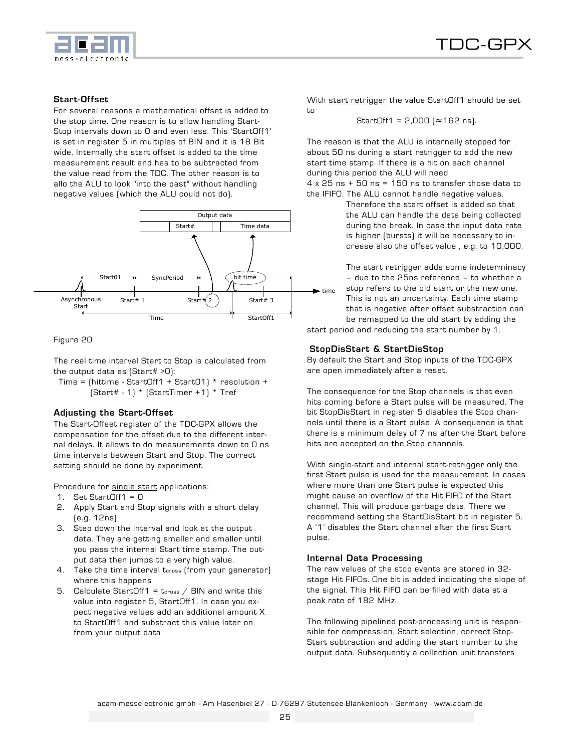

#### **Start-Offset**

For several reasons a mathematical offset is added to the stop time. One reason is to allow handling Start-Stop intervals down to 0 and even less. This 'StartOff1' is set in register 5 in multiples of BIN and it is 18 Bit wide. Internally the start offset is added to the time measurement result and has to be subtracted from the value read from the TDC. The other reason is to allo the ALU to look "into the past" without handling negative values (which the ALU could not do).



#### Figure 20

The real time interval Start to Stop is calculated from the output data as  $[Start# > 0]$ :

Time = (hittime - StartOff1 + Start01) \* resolution +  $[Start# - 1] * [StartTimer + 1] * Tref$ 

#### **Adjusting the Start-Offset**

The Start-Offset register of the TDC-GPX allows the compensation for the offset due to the different internal delays. It allows to do measurements down to 0 ns time intervals between Start and Stop. The correct setting should be done by experiment.

Procedure for single start applications:

- 1. Set StartOff1 = 0
- 2. Apply Start and Stop signals with a short delay (e.g. 12ns)
- 3. Step down the interval and look at the output data. They are getting smaller and smaller until you pass the internal Start time stamp. The output data then jumps to a very high value.
- 4. Take the time interval teross (from your generator) where this happens
- 5. Calculate StartOff1 =  $t_{cross}$  / BIN and write this value into register 5, StartOff1. In case you expect negative values add an additional amount X to StartOff1 and substract this value later on from your output data

With start retrigger the value StartOff1 should be set to

StartOff1 = 2,000 [ $≈$  162 ns].

The reason is that the ALU is internally stopped for about 50 ns during a start retrigger to add the new start time stamp. If there is a hit on each channel during this period the ALU will need

 $4 \times 25$  ns  $+ 50$  ns = 150 ns to transfer those data to the IFIFO. The ALU cannot handle negative values.

> Therefore the start offset is added so that the ALU can handle the data being collected during the break. In case the input data rate is higher (bursts) it will be necessary to increase also the offset value , e.g. to 10,000.

The start retrigger adds some indeterminacy – due to the 25ns reference – to whether a stop refers to the old start or the new one. This is not an uncertainty. Each time stamp that is negative after offset substraction can be remapped to the old start by adding the

start period and reducing the start number by 1.

#### **StopDisStart & StartDisStop**

By default the Start and Stop inputs of the TDC-GPX are open immediately after a reset.

The consequence for the Stop channels is that even hits coming before a Start pulse will be measured. The bit StopDisStart in register 5 disables the Stop channels until there is a Start pulse. A consequence is that there is a minimum delay of 7 ns after the Start before hits are accepted on the Stop channels.

With single-start and internal start-retrigger only the first Start pulse is used for the measurement. In cases where more than one Start pulse is expected this might cause an overflow of the Hit FIFO of the Start channel. This will produce garbage data. There we recommend setting the StartDisStart bit in register 5. A '1' disables the Start channel after the first Start pulse.

#### **Internal Data Processing**

The raw values of the stop events are stored in 32 stage Hit FIFOs. One bit is added indicating the slope of the signal. This Hit FIFO can be filled with data at a peak rate of 182 MHz.

The following pipelined post-processing unit is responsible for compression, Start selection, correct Stop-Start subtraction and adding the start number to the output data. Subsequently a collection unit transfers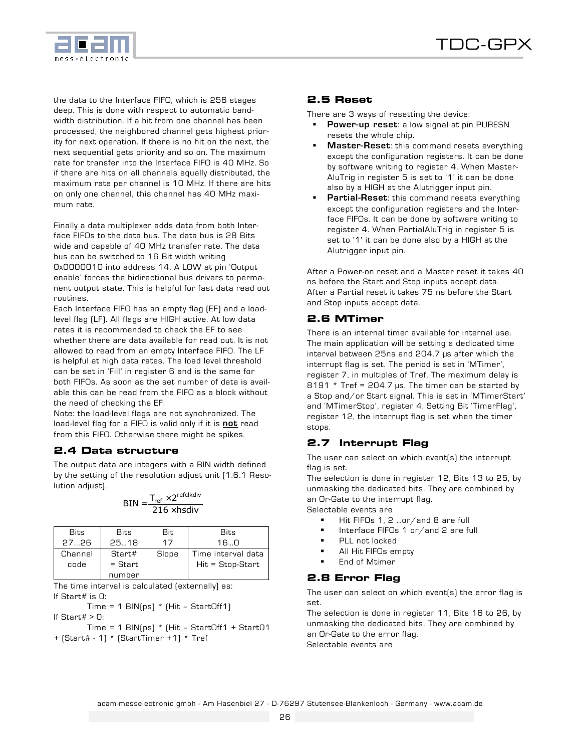<span id="page-25-0"></span>

the data to the Interface FIFO, which is 256 stages deep. This is done with respect to automatic bandwidth distribution. If a hit from one channel has been processed, the neighbored channel gets highest priority for next operation. If there is no hit on the next, the next sequential gets priority and so on. The maximum rate for transfer into the Interface FIFO is 40 MHz. So if there are hits on all channels equally distributed, the maximum rate per channel is 10 MHz. If there are hits on only one channel, this channel has 40 MHz maximum rate.

Finally a data multiplexer adds data from both Interface FIFOs to the data bus. The data bus is 28 Bits wide and capable of 40 MHz transfer rate. The data bus can be switched to 16 Bit width writing 0x0000010 into address 14. A LOW at pin 'Output enable' forces the bidirectional bus drivers to permanent output state. This is helpful for fast data read out routines.

Each Interface FIFO has an empty flag (EF) and a loadlevel flag (LF). All flags are HIGH active. At low data rates it is recommended to check the EF to see whether there are data available for read out. It is not allowed to read from an empty Interface FIFO. The LF is helpful at high data rates. The load level threshold can be set in 'Fill' in register 6 and is the same for both FIFOs. As soon as the set number of data is available this can be read from the FIFO as a block without the need of checking the EF.

Note: the load-level flags are not synchronized. The load-level flag for a FIFO is valid only if it is **not** read from this FIFO. Otherwise there might be spikes.

#### 2.4 Data structure

The output data are integers with a BIN width defined by the setting of the resolution adjust unit (1.6.1 Resolution adjust),

$$
BIN = \frac{T_{ref} \times 2^{refclkdiv}}{216 \times hsdiv}
$$

| <b>Bits</b> | <b>Bits</b> | <b>Bit</b> | <b>Bits</b>        |
|-------------|-------------|------------|--------------------|
| 27.26       | 2518        | 17         | 16.0               |
| Channel     | Start#      | Slope      | Time interval data |
| code        | $=$ Start   |            | $Hit = Stop-Start$ |
|             | number      |            |                    |

The time interval is calculated (externally) as: If Start# is 0:

Time =  $1$  BIN(ps)  $*$  (Hit - StartOff1)

If  $Start# > 0$ :

Time =  $1$  BIN(ps)  $*$  (Hit - StartOff1 + StartO1 + (Start# - 1) \* (StartTimer +1) \* Tref

# 2.5 Reset

There are 3 ways of resetting the device:

- **Power-up reset:** a low signal at pin PURESN resets the whole chip.
- **Master-Reset**: this command resets everything except the configuration registers. It can be done by software writing to register 4. When Master-AluTrig in register 5 is set to '1' it can be done also by a HIGH at the Alutrigger input pin.
- **Partial-Reset**: this command resets everything except the configuration registers and the Interface FIFOs. It can be done by software writing to register 4. When PartialAluTrig in register 5 is set to '1' it can be done also by a HIGH at the Alutrigger input pin.

After a Power-on reset and a Master reset it takes 40 ns before the Start and Stop inputs accept data. After a Partial reset it takes 75 ns before the Start and Stop inputs accept data.

# 2.6 MTimer

There is an internal timer available for internal use. The main application will be setting a dedicated time interval between 25ns and 204.7 µs after which the interrupt flag is set. The period is set in 'MTimer', register 7, in multiples of Tref. The maximum delay is 8191  $*$  Tref = 204.7 µs. The timer can be started by a Stop and/or Start signal. This is set in 'MTimerStart' and 'MTimerStop', register 4. Setting Bit 'TimerFlag', register 12, the interrupt flag is set when the timer stops.

# 2.7 Interrupt Flag

The user can select on which event(s) the interrupt flag is set.

The selection is done in register 12, Bits 13 to 25, by unmasking the dedicated bits. They are combined by an Or-Gate to the interrupt flag.

Selectable events are

- Hit FIFOs 1, 2 …or/and 8 are full
- **Interface FIFOs 1 or/and 2 are full**
- **PLL not locked**
- All Hit FIFOs empty
- End of Mtimer

# 2.8 Error Flag

The user can select on which event(s) the error flag is set.

The selection is done in register 11, Bits 16 to 26, by unmasking the dedicated bits. They are combined by an Or-Gate to the error flag. Selectable events are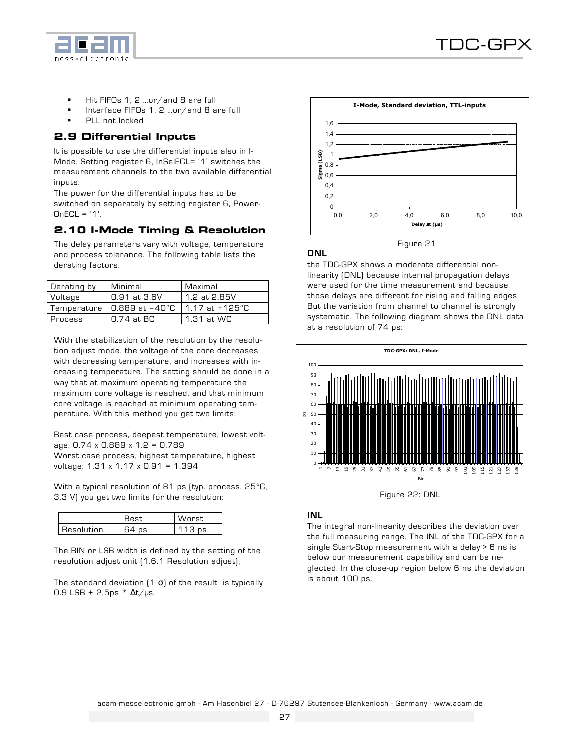<span id="page-26-0"></span>

- Hit FIFOs 1, 2 …or/and 8 are full
- Interface FIFOs 1, 2 …or/and 8 are full
- PLL not locked

## 2.9 Differential Inputs

It is possible to use the differential inputs also in I-Mode. Setting register 6, InSelECL= '1' switches the measurement channels to the two available differential inputs.

The power for the differential inputs has to be switched on separately by setting register 6, Power- $OnECL = '1'.$ 

# 2.10 I-Mode Timing & Resolution

The delay parameters vary with voltage, temperature and process tolerance. The following table lists the derating factors.

| Derating by | Minimal                     | Maximal                     |
|-------------|-----------------------------|-----------------------------|
| Voltage     | 0.91 at 3.6V                | 1.2 at 2.85V                |
|             | Temperature 10.889 at -40°C | $11.17$ at $+125^{\circ}$ C |
| Process     | 0.74 at BC                  | 1.31 at WC                  |

With the stabilization of the resolution by the resolution adjust mode, the voltage of the core decreases with decreasing temperature, and increases with increasing temperature. The setting should be done in a way that at maximum operating temperature the maximum core voltage is reached, and that minimum core voltage is reached at minimum operating temperature. With this method you get two limits:

Best case process, deepest temperature, lowest voltage: 0.74 x 0.889 x 1.2 = 0.789 Worst case process, highest temperature, highest voltage: 1.31 x 1.17 x 0.91 = 1.394

With a typical resolution of 81 ps (typ. process, 25°C, 3.3 V) you get two limits for the resolution:

|           |                             | rst.                                   |
|-----------|-----------------------------|----------------------------------------|
| ceolution | าร<br>$\mathbf{\mathbf{a}}$ | $n_{\rm S}$<br>$^{\prime}$ $^{\prime}$ |

The BIN or LSB width is defined by the setting of the resolution adjust unit (1.6.1 Resolution adjust),

The standard deviation  $[1 \sigma]$  of the result is typically 0.9 LSB + 2,5ps \* ∆t/µs.



#### Figure 21

#### **DNL**

the TDC-GPX shows a moderate differential nonlinearity (DNL) because internal propagation delays were used for the time measurement and because those delays are different for rising and falling edges. But the variation from channel to channel is strongly systematic. The following diagram shows the DNL data at a resolution of 74 ps:



#### **INL**

The integral non-linearity describes the deviation over the full measuring range. The INL of the TDC-GPX for a single Start-Stop measurement with a delay > 6 ns is below our measurement capability and can be neglected. In the close-up region below 6 ns the deviation is about 100 ps.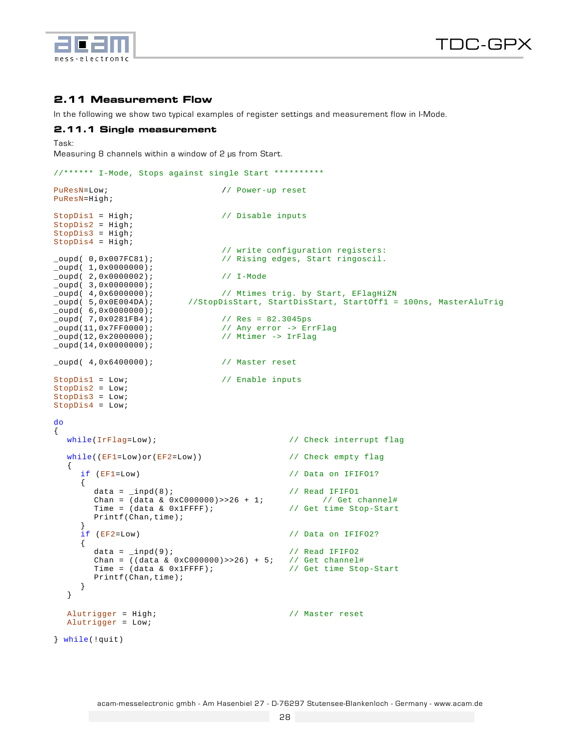<span id="page-27-0"></span>

## 2.11 Measurement Flow

In the following we show two typical examples of register settings and measurement flow in I-Mode.

#### 2.11.1 Single measurement

```
Task:
```
Measuring 8 channels within a window of 2 us from Start.

```
//****** I-Mode, Stops against single Start ********** 
PuResN=Low; \frac{1}{2} Power-up reset
PuResN=High; 
StopDis1 = High; // Disable inputs
StopDis2 = High; 
StopDis3 = High; 
StopDis4 = High; 
 // write configuration registers:
                                   // Rising edges, Start ringoscil.
\_oupd( 1,0x0000000);
_oupd( 2,0x0000002); // I-Mode
\begin{array}{r} \texttt{1} & \texttt{1} & \texttt{2} & \texttt{0} & \texttt{0} & \texttt{0} & \texttt{0} & \texttt{0} & \texttt{0} \\ \texttt{2} & \texttt{3} & \texttt{4} & \texttt{5} & \texttt{0} & \texttt{0} & \texttt{0} & \texttt{0} & \texttt{0} \\ \texttt{3} & \texttt{5} & \texttt{6} & \texttt{7} & \texttt{0} & \texttt{0} & \texttt{0} & \texttt{0} & \texttt{0} & \texttt{0} & \texttt{0} \end{array}// Mtimes trig. by Start, EFlagHiZN
_oupd( 5,0x0E004DA); //StopDisStart, StartDisStart, StartOff1 = 100ns, MasterAluTrig 
\_oupd( 6,0x0000000);
_oupd( 7,0x0281FB4); // Res = 82.3045ps 
                                   // Any error -> ErrFlag<br>// Mtimer -> IrFlag
\_oupd(12,0x2000000);
_oupd(14,0x0000000); 
_oupd( 4,0x6400000); // Master reset 
StopDis1 = Low; // Enable inputs 
StopDis2 = Low; 
StopDis3 = Low; 
StopDis4 = Low; 
do 
{ 
    while(IrFlag=Low); // Check interrupt flag
   while((EF1=Low)or(EF2=Low)) // Check empty flag
    { 
      if (EF1=Low) // Data on IFIFO1?
       { 
 data = _inpd(8); // Read IFIFO1 
Chan = (data & 0xC000000) \rightarrow 26 + 1; // Get channel#
        Time = (data & Ox1FFFF); // Get time Stop-StartPrintf(Chan, time);
 } 
      if (EF2=Low) // Data on IFIFO2?
       { 
 data = _inpd(9); // Read IFIFO2
 Chan = ((data & 0xC000000)>>26) + 5; // Get channel#
        Time = (data & 0x1FFFF); // Get time Stop-Start Printf(Chan,time); 
      } 
    } 
  Alutrigger = High; // Master reset 
  Alutrigger = Low; 
} while(!quit)
```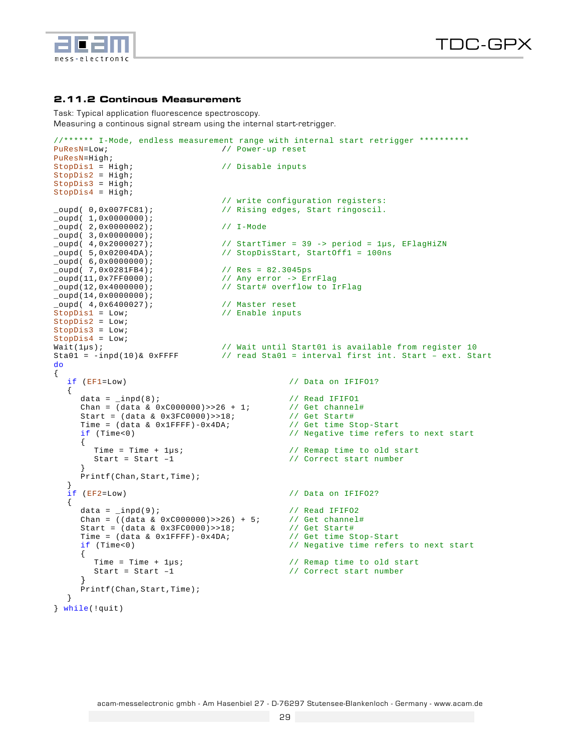<span id="page-28-0"></span>

## 2.11.2 Continous Measurement

Task: Typical application fluorescence spectroscopy. Measuring a continous signal stream using the internal start-retrigger.

```
//****** I-Mode, endless measurement range with internal start retrigger ********** 
PuResN=Low; // Power-up reset
PuResN=High; 
StopDis1 = High; // Disable inputs
StopDis2 = High; 
StopDis3 = High; 
StopDis4 = High; 
 // write configuration registers:
                                      // Rising edges, Start ringoscil.
\_oupd( 1,0x00000000);
_oupd( 2,0x0000002); // I-Mode
\begin{array}{r} \text{1} & 3,0 \times 0000000; \\ \text{1} & 200000000; \end{array}// StartTimer = 39 -> period = 1µs, EFlagHiZN
_oupd( 5,0x02004DA); // StopDisStart, StartOff1 = 100ns 
\_oupd( 6,0x0000000);
_oupd( 7,0x0281FB4); // Res = 82.3045ps 
_oupd(11,0x7FF0000); // Any error -> ErrFlag 
                                      // Start# overflow to IrFlag
\_oupd(14,0x0000000);
_oupd( 4,0x6400027); // Master reset 
                                      // Enable inputs
StopDis2 = Low; 
StopDis3 = Low; 
StopDis4 = Low; 
Wait(1µs);<br>\frac{1}{10} // Wait until Start01 is available from register 10<br>Sta01 = -inpd(10)& 0xFFFF // read Sta01 = interval first int. Start - ext. St
                                      // read Sta01 = interval first int. Start - ext. Start
do 
{ 
   if (EF1=Low) // Data on IFIFO1?
    { 
      data = \text{impd}(8); \frac{1}{2} // Read IFIFO1
      Chan = (data & 0xC000000)>>26 + 1; // Get channel#<br>Start = (data & 0x3FC0000)>>18; // Get Start#
      \begin{array}{lllll} \texttt{Start} & = & (\texttt{data} & \texttt{0x3FC0000}) \texttt{>>18}\textit{;} & \texttt{\textit{ // Get Start#}}\\ \texttt{Time} & = & (\texttt{data} & \texttt{0x1FFFF}) - \texttt{0x4DA}\textit{;} & \texttt{\textit{ // Get time Stop-Start}}\\ \end{array}Time = (data & 0x1FFFF) - 0x4DA;<br>if (Time < 0)// Negative time refers to next start
       { 
         Time = Time + 1µs;<br>Start = Start -1 \frac{1}{\sqrt{C}} / Correct start number
                                                     // Correct start number
 } 
      Printf(Chan, Start, Time);
 } 
   if (EF2=Low) // Data on IFIFO2?
    { 
      data = \frac{1}{9};<br>Chan = ((\text{data & 0xC000000}) \rightarrow 26) + 5; // Get channel#
      Chan = ((data & 0xC000000)) >> 26) + 5;Start = (data & 0x3FC0000) >> 18;<br>Time = (data & 0x1FFFF) - 0x4DA;<br>// Get time Stop-Start
      Time = (data & 0x1FFFF) - 0x4DA;
       if (Time<0) // Negative time refers to next start
       { 
         Time = Time + 1ps;<br>
\frac{1}{2} // Remap time to old start
         Start = Start -1 // Correct start number
       }
      Printf(Chan, Start, Time);
    }
```

```
} while(!quit)
```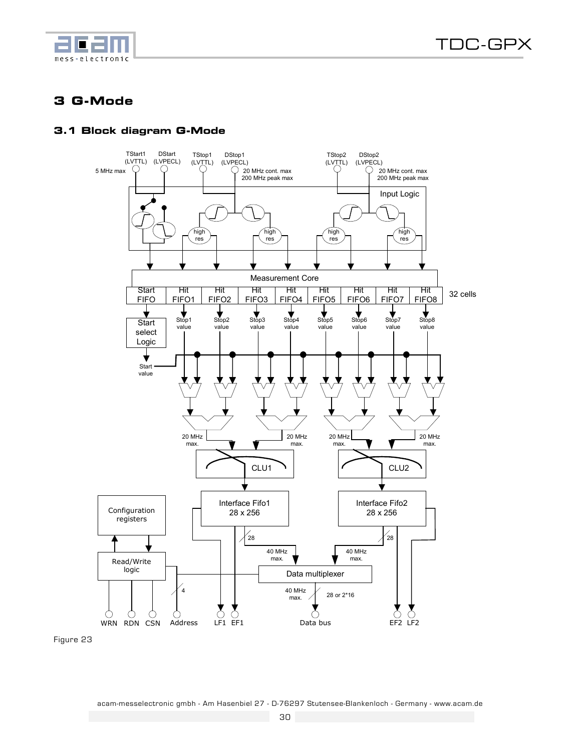<span id="page-29-0"></span>

# 3 G-Mode

# 3.1 Block diagram G-Mode



Figure 23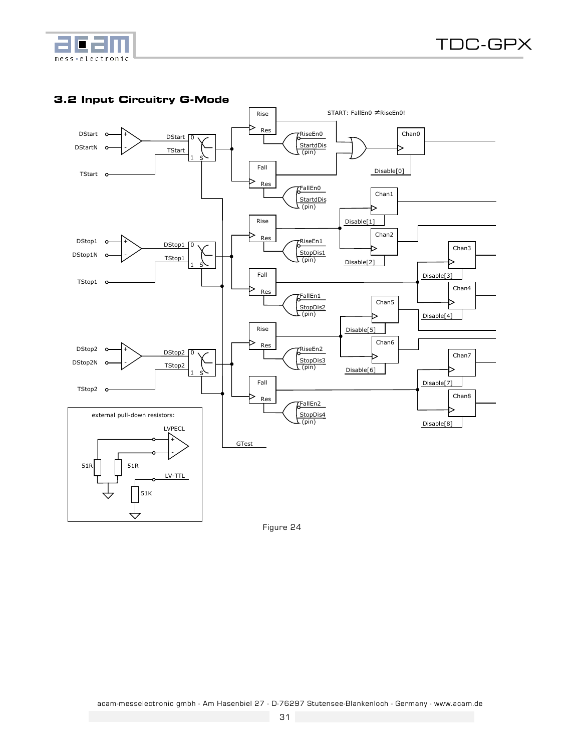

# 3.2 Input Circuitry G-Mode



Figure 24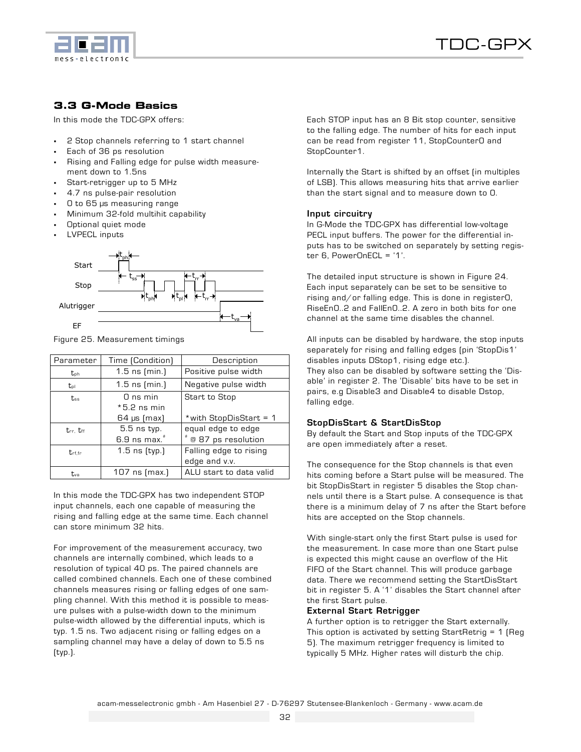<span id="page-31-0"></span>

# 3.3 G-Mode Basics

In this mode the TDC-GPX offers:

- 2 Stop channels referring to 1 start channel
- Each of 36 ps resolution
- Rising and Falling edge for pulse width measurement down to 1.5ns
- Start-retrigger up to 5 MHz
- 4.7 ns pulse-pair resolution
- 0 to 65 µs measuring range
- Minimum 32-fold multihit capability
- Optional quiet mode
- LVPECL inputs



Figure 25. Measurement timings

| Parameter       | Time (Condition)        | Description             |
|-----------------|-------------------------|-------------------------|
| $t_{\rm ph}$    | $1.5$ ns ${\rm [min.]}$ | Positive pulse width    |
| $t_{pl}$        | $1.5$ ns ${\rm [min.]}$ | Negative pulse width    |
| $t_{ss}$        | $0$ ns min              | Start to Stop           |
|                 | $*5.2$ ns min           |                         |
|                 | $64 \mu s$ (max)        | * with StopDisStart = 1 |
| trr. tff        | $5.5$ ns typ.           | equal edge to edge      |
|                 | $6.9$ ns max. $*$       | @ 87 ps resolution      |
| $t_{\rm rf,fr}$ | $1.5$ ns $[typ.]$       | Falling edge to rising  |
|                 |                         | edge and v.v.           |
| tva             | $107$ ns (max.)         | ALU start to data valid |

In this mode the TDC-GPX has two independent STOP input channels, each one capable of measuring the rising and falling edge at the same time. Each channel can store minimum 32 hits.

For improvement of the measurement accuracy, two channels are internally combined, which leads to a resolution of typical 40 ps. The paired channels are called combined channels. Each one of these combined channels measures rising or falling edges of one sampling channel. With this method it is possible to measure pulses with a pulse-width down to the minimum pulse-width allowed by the differential inputs, which is typ. 1.5 ns. Two adjacent rising or falling edges on a sampling channel may have a delay of down to 5.5 ns (typ.).

Each STOP input has an 8 Bit stop counter, sensitive to the falling edge. The number of hits for each input can be read from register 11, StopCounter0 and StopCounter1.

Internally the Start is shifted by an offset (in multiples of LSB). This allows measuring hits that arrive earlier than the start signal and to measure down to 0.

#### **Input circuitry**

In G-Mode the TDC-GPX has differential low-voltage PECL input buffers. The power for the differential inputs has to be switched on separately by setting register 6, PowerOnECL = '1'.

The detailed input structure is shown in Figure 24. Each input separately can be set to be sensitive to rising and/or falling edge. This is done in register0, RiseEn0..2 and FallEn0..2. A zero in both bits for one channel at the same time disables the channel.

All inputs can be disabled by hardware, the stop inputs separately for rising and falling edges (pin 'StopDis1' disables inputs DStop1, rising edge etc.). They also can be disabled by software setting the 'Disable' in register 2. The 'Disable' bits have to be set in pairs, e.g Disable3 and Disable4 to disable Dstop, falling edge.

#### **StopDisStart & StartDisStop**

By default the Start and Stop inputs of the TDC-GPX are open immediately after a reset.

The consequence for the Stop channels is that even hits coming before a Start pulse will be measured. The bit StopDisStart in register 5 disables the Stop channels until there is a Start pulse. A consequence is that there is a minimum delay of 7 ns after the Start before hits are accepted on the Stop channels.

With single-start only the first Start pulse is used for the measurement. In case more than one Start pulse is expected this might cause an overflow of the Hit FIFO of the Start channel. This will produce garbage data. There we recommend setting the StartDisStart bit in register 5. A '1' disables the Start channel after the first Start pulse.

#### **External Start Retrigger**

A further option is to retrigger the Start externally. This option is activated by setting StartRetrig = 1 (Reg 5). The maximum retrigger frequency is limited to typically 5 MHz. Higher rates will disturb the chip.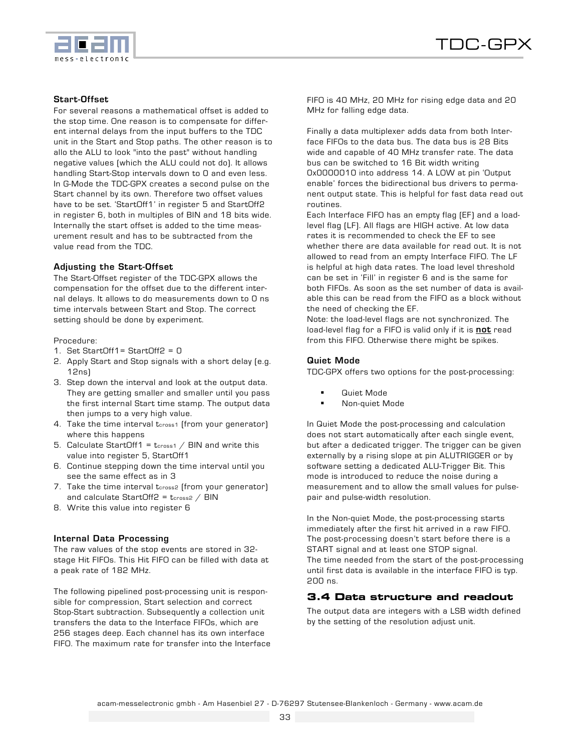<span id="page-32-0"></span>

#### **Start-Offset**

For several reasons a mathematical offset is added to the stop time. One reason is to compensate for different internal delays from the input buffers to the TDC unit in the Start and Stop paths. The other reason is to allo the ALU to look "into the past" without handling negative values (which the ALU could not do). It allows handling Start-Stop intervals down to 0 and even less. In G-Mode the TDC-GPX creates a second pulse on the Start channel by its own. Therefore two offset values have to be set. 'StartOff1' in register 5 and StartOff2 in register 6, both in multiples of BIN and 18 bits wide. Internally the start offset is added to the time measurement result and has to be subtracted from the value read from the TDC.

#### **Adjusting the Start-Offset**

The Start-Offset register of the TDC-GPX allows the compensation for the offset due to the different internal delays. It allows to do measurements down to 0 ns time intervals between Start and Stop. The correct setting should be done by experiment.

#### Procedure:

- 1. Set StartOff1= StartOff2 = 0
- 2. Apply Start and Stop signals with a short delay (e.g. 12ns)
- 3. Step down the interval and look at the output data. They are getting smaller and smaller until you pass the first internal Start time stamp. The output data then jumps to a very high value.
- 4. Take the time interval teross1 (from your generator) where this happens
- 5. Calculate StartOff1 =  $t_{cross1}$  / BIN and write this value into register 5, StartOff1
- 6. Continue stepping down the time interval until you see the same effect as in 3
- 7. Take the time interval tcross2 (from your generator) and calculate StartOff2 =  $t_{cross2}$  / BIN
- 8. Write this value into register 6

#### **Internal Data Processing**

The raw values of the stop events are stored in 32 stage Hit FIFOs. This Hit FIFO can be filled with data at a peak rate of 182 MHz.

The following pipelined post-processing unit is responsible for compression, Start selection and correct Stop-Start subtraction. Subsequently a collection unit transfers the data to the Interface FIFOs, which are 256 stages deep. Each channel has its own interface FIFO. The maximum rate for transfer into the Interface FIFO is 40 MHz, 20 MHz for rising edge data and 20 MHz for falling edge data.

Finally a data multiplexer adds data from both Interface FIFOs to the data bus. The data bus is 28 Bits wide and capable of 40 MHz transfer rate. The data bus can be switched to 16 Bit width writing 0x0000010 into address 14. A LOW at pin 'Output enable' forces the bidirectional bus drivers to permanent output state. This is helpful for fast data read out routines.

Each Interface FIFO has an empty flag (EF) and a loadlevel flag (LF). All flags are HIGH active. At low data rates it is recommended to check the EF to see whether there are data available for read out. It is not allowed to read from an empty Interface FIFO. The LF is helpful at high data rates. The load level threshold can be set in 'Fill' in register 6 and is the same for both FIFOs. As soon as the set number of data is available this can be read from the FIFO as a block without the need of checking the EF.

Note: the load-level flags are not synchronized. The load-level flag for a FIFO is valid only if it is **not** read from this FIFO. Otherwise there might be spikes.

#### **Quiet Mode**

TDC-GPX offers two options for the post-processing:

- Quiet Mode
- Non-quiet Mode

In Quiet Mode the post-processing and calculation does not start automatically after each single event, but after a dedicated trigger. The trigger can be given externally by a rising slope at pin ALUTRIGGER or by software setting a dedicated ALU-Trigger Bit. This mode is introduced to reduce the noise during a measurement and to allow the small values for pulsepair and pulse-width resolution.

In the Non-quiet Mode, the post-processing starts immediately after the first hit arrived in a raw FIFO. The post-processing doesn't start before there is a START signal and at least one STOP signal. The time needed from the start of the post-processing until first data is available in the interface FIFO is typ. 200 ns.

#### 3.4 Data structure and readout

The output data are integers with a LSB width defined by the setting of the resolution adjust unit.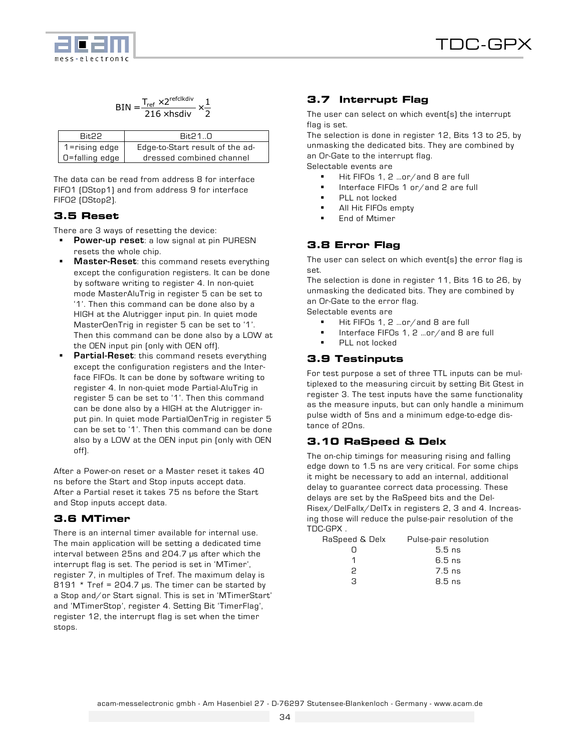<span id="page-33-0"></span>

$$
BIN = \frac{T_{ref} \times 2^{refclkdiv}}{216 \times hsdiv} \times \frac{1}{2}
$$

| Rit22             | <b>Bit21.0</b>                  |
|-------------------|---------------------------------|
| $1 =$ rising edge | Edge-to-Start result of the ad- |
| O=falling edge    | dressed combined channel        |

The data can be read from address 8 for interface FIFO1 (DStop1) and from address 9 for interface FIFO2 (DStop2).

#### 3.5 Reset

There are 3 ways of resetting the device:

- **Power-up reset:** a low signal at pin PURESN resets the whole chip.
- **Master-Reset**: this command resets everything except the configuration registers. It can be done by software writing to register 4. In non-quiet mode MasterAluTrig in register 5 can be set to '1'. Then this command can be done also by a HIGH at the Alutrigger input pin. In quiet mode MasterOenTrig in register 5 can be set to '1'. Then this command can be done also by a LOW at the OEN input pin (only with OEN off).
- **Partial-Reset**: this command resets everything except the configuration registers and the Interface FIFOs. It can be done by software writing to register 4. In non-quiet mode Partial-AluTrig in register 5 can be set to '1'. Then this command can be done also by a HIGH at the Alutrigger input pin. In quiet mode PartialOenTrig in register 5 can be set to '1'. Then this command can be done also by a LOW at the OEN input pin (only with OEN off).

After a Power-on reset or a Master reset it takes 40 ns before the Start and Stop inputs accept data. After a Partial reset it takes 75 ns before the Start and Stop inputs accept data.

# 3.6 MTimer

There is an internal timer available for internal use. The main application will be setting a dedicated time interval between 25ns and 204.7 µs after which the interrupt flag is set. The period is set in 'MTimer', register 7, in multiples of Tref. The maximum delay is 8191  $*$  Tref = 204.7 µs. The timer can be started by a Stop and/or Start signal. This is set in 'MTimerStart' and 'MTimerStop', register 4. Setting Bit 'TimerFlag', register 12, the interrupt flag is set when the timer stops.

# 3.7 Interrupt Flag

The user can select on which event(s) the interrupt flag is set.

The selection is done in register 12, Bits 13 to 25, by unmasking the dedicated bits. They are combined by an Or-Gate to the interrupt flag.

Selectable events are

- Hit FIFOs 1, 2 …or/and 8 are full
- Interface FIFOs 1 or/and 2 are full
- **PLL not locked**
- **All Hit FIFOs empty**
- End of Mtimer

# 3.8 Error Flag

The user can select on which event(s) the error flag is set.

The selection is done in register 11, Bits 16 to 26, by unmasking the dedicated bits. They are combined by an Or-Gate to the error flag.

Selectable events are

- Hit FIFOs 1, 2 ...or/and 8 are full
- Interface FIFOs 1, 2 …or/and 8 are full
- PLL not locked

## 3.9 Testinputs

For test purpose a set of three TTL inputs can be multiplexed to the measuring circuit by setting Bit Gtest in register 3. The test inputs have the same functionality as the measure inputs, but can only handle a minimum pulse width of 5ns and a minimum edge-to-edge distance of 20ns.

# 3.10 RaSpeed & Delx

The on-chip timings for measuring rising and falling edge down to 1.5 ns are very critical. For some chips it might be necessary to add an internal, additional delay to guarantee correct data processing. These delays are set by the RaSpeed bits and the Del-Risex/DelFallx/DelTx in registers 2, 3 and 4. Increasing those will reduce the pulse-pair resolution of the TDC-GPX .

| RaSpeed & Delx | Pulse-pair resolution |
|----------------|-----------------------|
|                | $5.5$ ns              |
|                | $6.5$ ns              |
| ₽              | $7.5$ ns              |
|                | $8.5$ ns              |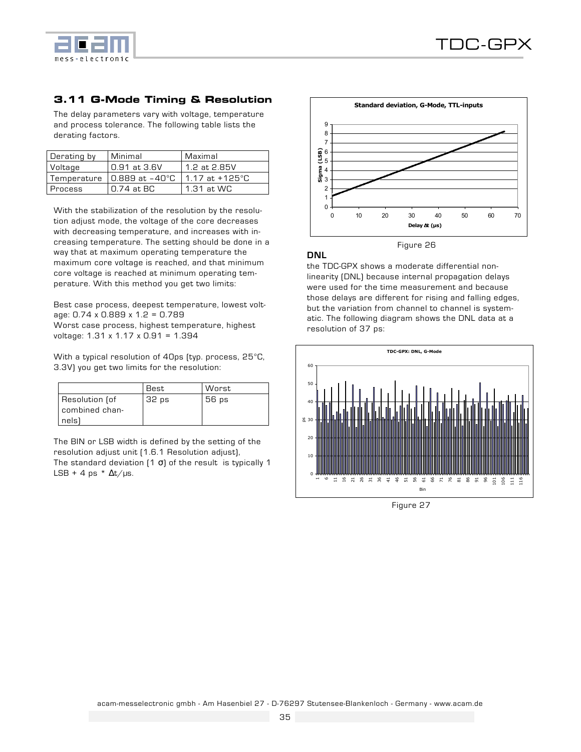<span id="page-34-0"></span>

# 3.11 G-Mode Timing & Resolution

The delay parameters vary with voltage, temperature and process tolerance. The following table lists the derating factors.

| Derating by | Minimal                                       | Maximal                     |  |
|-------------|-----------------------------------------------|-----------------------------|--|
| Voltage     | 0.91 at 3.6V                                  | 1.2 at 2.85V                |  |
|             | Temperature $\vert$ 0.889 at -40 $^{\circ}$ C | $11.17$ at $+125^{\circ}$ C |  |
| Process     | $0.74$ at BC                                  | 1.31 at WC                  |  |
|             |                                               |                             |  |

With the stabilization of the resolution by the resolution adjust mode, the voltage of the core decreases with decreasing temperature, and increases with increasing temperature. The setting should be done in a way that at maximum operating temperature the maximum core voltage is reached, and that minimum core voltage is reached at minimum operating temperature. With this method you get two limits:

Best case process, deepest temperature, lowest voltage: 0.74 x 0.889 x 1.2 = 0.789 Worst case process, highest temperature, highest voltage: 1.31 x 1.17 x 0.91 = 1.394

With a typical resolution of 40ps (typ. process, 25°C, 3.3V) you get two limits for the resolution:

|                | Best  | Worst            |
|----------------|-------|------------------|
| Resolution (of | 32 ps | 56 <sub>ps</sub> |
| combined chan- |       |                  |
| nels)          |       |                  |

The BIN or LSB width is defined by the setting of the resolution adjust unit (1.6.1 Resolution adjust), The standard deviation  $(1 \sigma)$  of the result is typically 1 LSB + 4 ps  $*$   $\Delta t / \mu s$ .



Figure 26

#### **DNL**

the TDC-GPX shows a moderate differential nonlinearity (DNL) because internal propagation delays were used for the time measurement and because those delays are different for rising and falling edges, but the variation from channel to channel is systematic. The following diagram shows the DNL data at a resolution of 37 ps:



Figure 27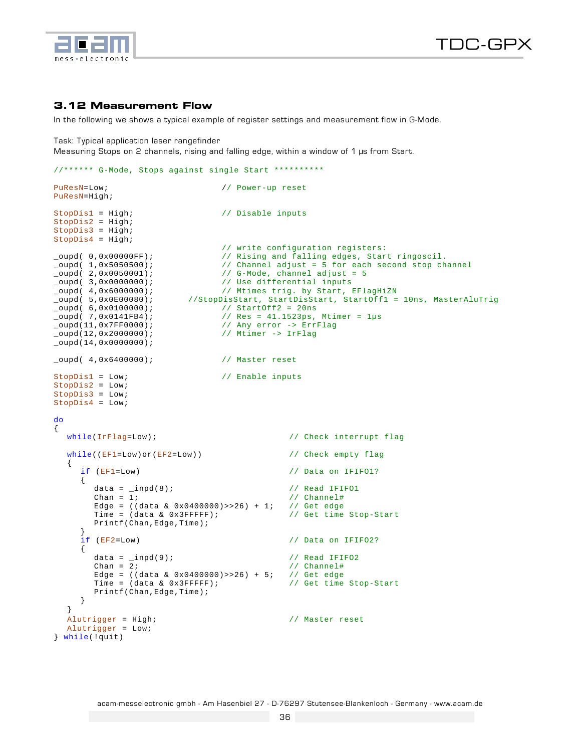<span id="page-35-0"></span>

#### 3.12 Measurement Flow

In the following we shows a typical example of register settings and measurement flow in G-Mode.

Task: Typical application laser rangefinder Measuring Stops on 2 channels, rising and falling edge, within a window of 1 µs from Start.

```
//****** G-Mode, Stops against single Start ********** 
PuResN=Low; \sqrt{2} / Power-up reset
PuResN=High; 
StopDis1 = High; // Disable inputs
Stophis2 = HighiStopDis3 = High; 
StopDis4 = High; // write configuration registers:
_oupd( 0,0x00000FF); // Rising and falling edges, Start ringoscil.
_oupd( 1,0x5050500); // Channel adjust = 5 for each second stop channel
_oupd( 2,0x0050001); // G-Mode, channel adjust = 5
_oupd( 3,0x0000000); // Use differential inputs
                                  // Mtimes trig. by Start, EFlagHiZN
_oupd( 5,0x0E00080); //StopDisStart, StartDisStart, StartOff1 = 10ns, MasterAluTrig 
\text{\_}oupd( 6,0x0100000);<br>\text{\_}oupd( 7,0x0141FB4);
                                  // Res = 41.1523ps, Mitmer = 1µs\begin{array}{ccc} \texttt{1,0x7FF0000}; & & // \texttt{Any error -&} \texttt{ErrFlag} \\ \texttt{0upd(12,0x2000000)} & & // \texttt{Mtimer -&} \texttt{1rFlag} \end{array}\_oupd(12,0x2000000);
_oupd(14,0x0000000); 
_oupd( 4,0x6400000); // Master reset 
StopDis1 = Low; // Enable inputs 
StopDis2 = Low; 
StopDis3 = Low; 
StopDis4 = Low; 
do 
{ 
  while(IrFlag=Low); \frac{1}{2} // Check interrupt flag
  while((EF1=Low)or(EF2=Low)) // Check empty flag
    { 
      if (EF1=Low) // Data on IFIFO1?
      { 
        data = \text{ind}(8);<br>
Chan = 1;<br>
// Channel#
                                               // Channel#<br>// Get edge
        Edge = ((data & 0x0400000) >> 26) + 1; // Get edge<br>Time = (data & 0x3FFFFF); // Get time Stop-StartTime = (data & 0x3FFFFF); Printf(Chan,Edge,Time); 
 } 
      if (EF2=Low) // Data on IFIFO2?
      { 
        data = \frac{1}{9};<br>Chan = 2;<br>// Channel#
                                                // Channel#
        Edge = ((data & 0x0400000) \rightarrow 26) + 5; // Get edge<br>Time = (data & 0x3FFFFF);<br>// Get time Stop-Start
        Time = (data & 0x3FFFFF); Printf(Chan,Edge,Time); 
      } 
   } 
  Alutrigger = High; \sqrt{2} // Master reset
  Alutrigger = Low; 
} while(!quit)
```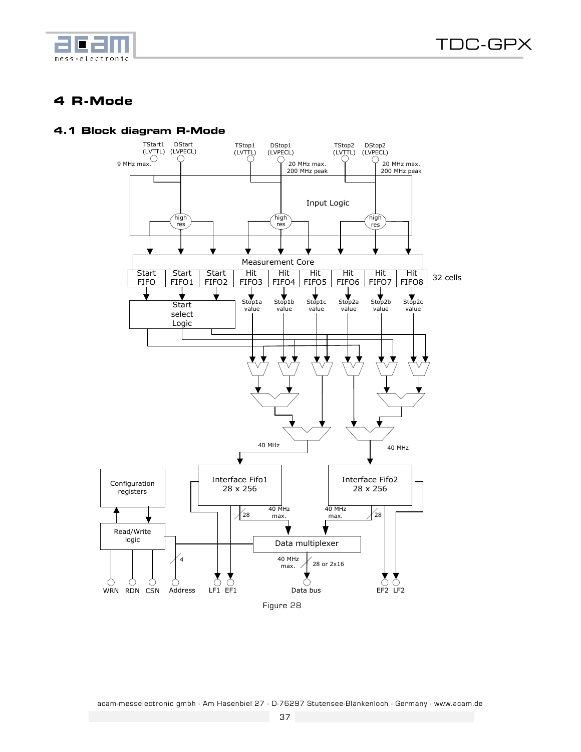<span id="page-36-0"></span>

# 4 R-Mode

# 4.1 Block diagram R-Mode

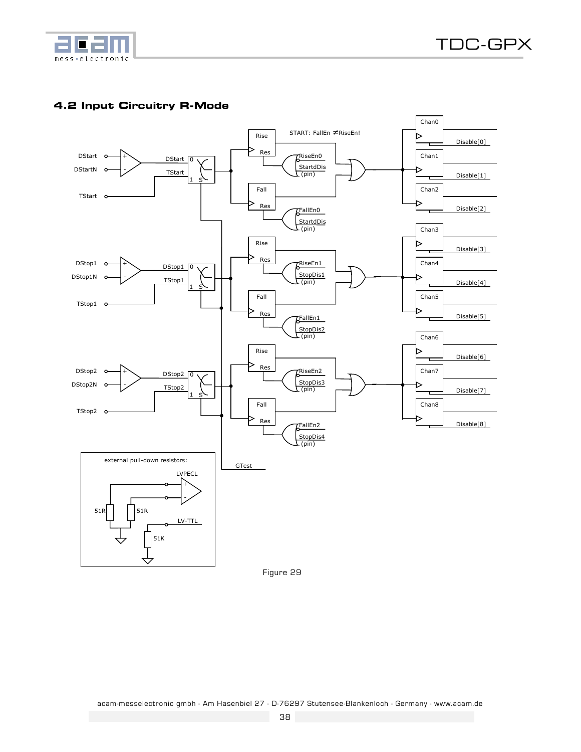<span id="page-37-0"></span>

# 4.2 Input Circuitry R-Mode

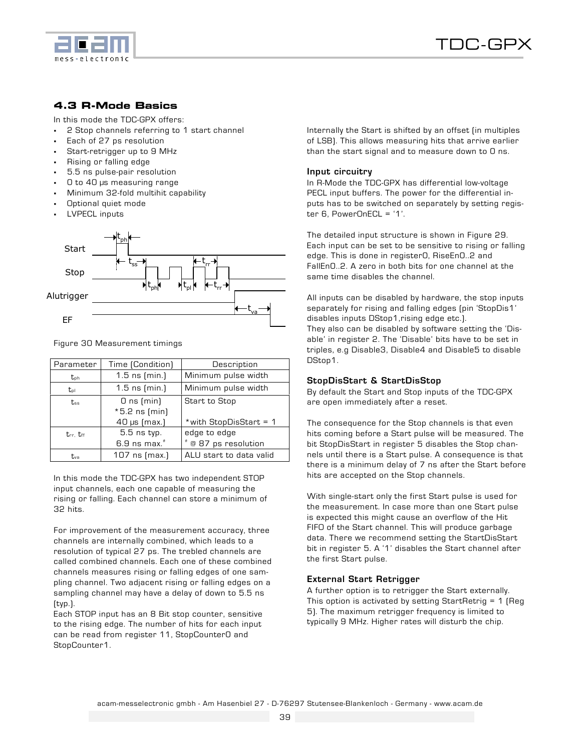<span id="page-38-0"></span>

## 4.3 R-Mode Basics

In this mode the TDC-GPX offers:

- 2 Stop channels referring to 1 start channel
- Each of 27 ps resolution
- Start-retrigger up to 9 MHz
- Rising or falling edge
- 5.5 ns pulse-pair resolution
- 0 to 40 µs measuring range
- Minimum 32-fold multihit capability
- Optional quiet mode
- LVPECL inputs



Figure 30 Measurement timings

| Parameter            | Time (Condition)           | Description               |
|----------------------|----------------------------|---------------------------|
| $t_{ph}$             | $1.5$ ns $[min.]$          | Minimum pulse width       |
| $t_{pl}$             | $1.5$ ns $[min.]$          | Minimum pulse width       |
| $t_{ss}$             | $0$ ns $[\text{min}]$      | Start to Stop             |
|                      | $*5.2$ ns $(min)$          |                           |
|                      | $40 \mu s$ (max.)          | * with StopDisStart = $1$ |
| t <sub>rr.</sub> tff | $5.5$ ns typ.              | edge to edge              |
|                      | $6.9$ ns max. <sup>#</sup> | @ 87 ps resolution        |
| tva                  | $107$ ns (max.)            | ALU start to data valid   |

In this mode the TDC-GPX has two independent STOP input channels, each one capable of measuring the rising or falling. Each channel can store a minimum of 32 hits.

For improvement of the measurement accuracy, three channels are internally combined, which leads to a resolution of typical 27 ps. The trebled channels are called combined channels. Each one of these combined channels measures rising or falling edges of one sampling channel. Two adjacent rising or falling edges on a sampling channel may have a delay of down to 5.5 ns (typ.).

Each STOP input has an 8 Bit stop counter, sensitive to the rising edge. The number of hits for each input can be read from register 11, StopCounter0 and StopCounter1.

Internally the Start is shifted by an offset (in multiples of LSB). This allows measuring hits that arrive earlier than the start signal and to measure down to 0 ns.

#### **Input circuitry**

In R-Mode the TDC-GPX has differential low-voltage PECL input buffers. The power for the differential inputs has to be switched on separately by setting register 6, PowerOnECL = '1'.

The detailed input structure is shown in Figure 29. Each input can be set to be sensitive to rising or falling edge. This is done in register0, RiseEn0..2 and FallEn0..2. A zero in both bits for one channel at the same time disables the channel.

All inputs can be disabled by hardware, the stop inputs separately for rising and falling edges (pin 'StopDis1' disables inputs DStop1,rising edge etc.). They also can be disabled by software setting the 'Disable' in register 2. The 'Disable' bits have to be set in triples, e.g Disable3, Disable4 and Disable5 to disable DStop1.

#### **StopDisStart & StartDisStop**

By default the Start and Stop inputs of the TDC-GPX are open immediately after a reset.

The consequence for the Stop channels is that even hits coming before a Start pulse will be measured. The bit StopDisStart in register 5 disables the Stop channels until there is a Start pulse. A consequence is that there is a minimum delay of 7 ns after the Start before hits are accepted on the Stop channels.

With single-start only the first Start pulse is used for the measurement. In case more than one Start pulse is expected this might cause an overflow of the Hit FIFO of the Start channel. This will produce garbage data. There we recommend setting the StartDisStart bit in register 5. A '1' disables the Start channel after the first Start pulse.

#### **External Start Retrigger**

A further option is to retrigger the Start externally. This option is activated by setting StartRetrig = 1 (Reg 5). The maximum retrigger frequency is limited to typically 9 MHz. Higher rates will disturb the chip.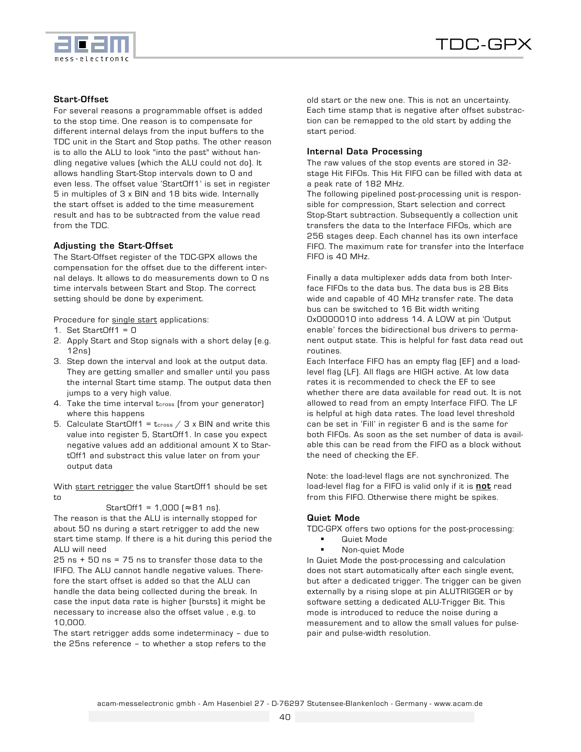

#### **Start-Offset**

For several reasons a programmable offset is added to the stop time. One reason is to compensate for different internal delays from the input buffers to the TDC unit in the Start and Stop paths. The other reason is to allo the ALU to look "into the past" without handling negative values (which the ALU could not do). It allows handling Start-Stop intervals down to 0 and even less. The offset value 'StartOff1' is set in register 5 in multiples of 3 x BIN and 18 bits wide. Internally the start offset is added to the time measurement result and has to be subtracted from the value read from the TDC.

#### **Adjusting the Start-Offset**

The Start-Offset register of the TDC-GPX allows the compensation for the offset due to the different internal delays. It allows to do measurements down to 0 ns time intervals between Start and Stop. The correct setting should be done by experiment.

Procedure for single start applications:

- 1. Set StartOff1 = 0
- 2. Apply Start and Stop signals with a short delay (e.g. 12ns)
- 3. Step down the interval and look at the output data. They are getting smaller and smaller until you pass the internal Start time stamp. The output data then jumps to a very high value.
- 4. Take the time interval teross (from your generator) where this happens
- 5. Calculate StartOff1 =  $t_{cross}$  / 3 x BIN and write this value into register 5, StartOff1. In case you expect negative values add an additional amount X to StartOff1 and substract this value later on from your output data

With start retrigger the value StartOff1 should be set to

#### StartOff1 =  $1,000$  [≈ 81 ns].

The reason is that the ALU is internally stopped for about 50 ns during a start retrigger to add the new start time stamp. If there is a hit during this period the ALU will need

25 ns + 50 ns = 75 ns to transfer those data to the IFIFO. The ALU cannot handle negative values. Therefore the start offset is added so that the ALU can handle the data being collected during the break. In case the input data rate is higher (bursts) it might be necessary to increase also the offset value , e.g. to 10,000.

The start retrigger adds some indeterminacy – due to the 25ns reference – to whether a stop refers to the

old start or the new one. This is not an uncertainty. Each time stamp that is negative after offset substraction can be remapped to the old start by adding the start period.

#### **Internal Data Processing**

The raw values of the stop events are stored in 32 stage Hit FIFOs. This Hit FIFO can be filled with data at a peak rate of 182 MHz.

The following pipelined post-processing unit is responsible for compression, Start selection and correct Stop-Start subtraction. Subsequently a collection unit transfers the data to the Interface FIFOs, which are 256 stages deep. Each channel has its own interface FIFO. The maximum rate for transfer into the Interface  $F$ IFO is  $4$ O MHz.

Finally a data multiplexer adds data from both Interface FIFOs to the data bus. The data bus is 28 Bits wide and capable of 40 MHz transfer rate. The data bus can be switched to 16 Bit width writing 0x0000010 into address 14. A LOW at pin 'Output enable' forces the bidirectional bus drivers to permanent output state. This is helpful for fast data read out routines.

Each Interface FIFO has an empty flag (EF) and a loadlevel flag (LF). All flags are HIGH active. At low data rates it is recommended to check the EF to see whether there are data available for read out. It is not allowed to read from an empty Interface FIFO. The LF is helpful at high data rates. The load level threshold can be set in 'Fill' in register 6 and is the same for both FIFOs. As soon as the set number of data is available this can be read from the FIFO as a block without the need of checking the EF.

Note: the load-level flags are not synchronized. The load-level flag for a FIFO is valid only if it is **not** read from this FIFO. Otherwise there might be spikes.

#### **Quiet Mode**

TDC-GPX offers two options for the post-processing:

- Quiet Mode
- Non-quiet Mode

In Quiet Mode the post-processing and calculation does not start automatically after each single event, but after a dedicated trigger. The trigger can be given externally by a rising slope at pin ALUTRIGGER or by software setting a dedicated ALU-Trigger Bit. This mode is introduced to reduce the noise during a measurement and to allow the small values for pulsepair and pulse-width resolution.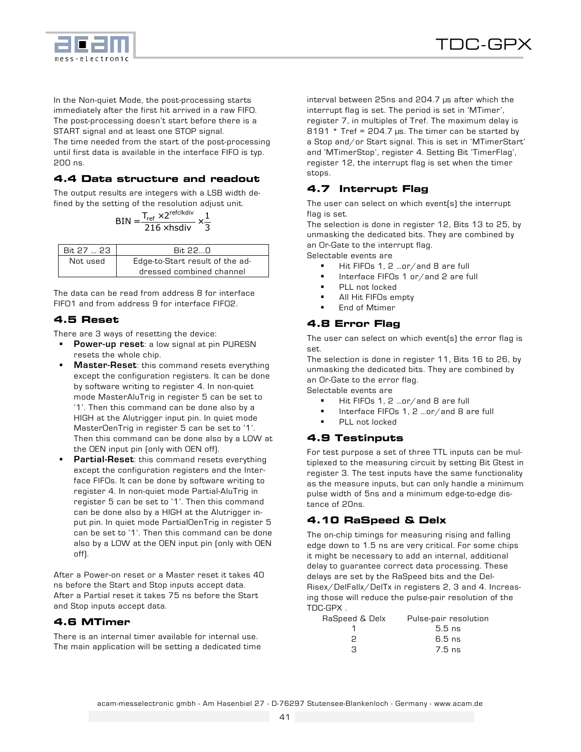<span id="page-40-0"></span>

In the Non-quiet Mode, the post-processing starts immediately after the first hit arrived in a raw FIFO. The post-processing doesn't start before there is a START signal and at least one STOP signal. The time needed from the start of the post-processing until first data is available in the interface FIFO is typ. 200 ns.

## 4.4 Data structure and readout

The output results are integers with a LSB width defined by the setting of the resolution adjust unit.

$$
BIN = \frac{T_{ref} \times 2^{refclkdiv}}{216 \times hsdiv} \times \frac{1}{3}
$$

| Bit 27  23 | Rit 22 0                        |
|------------|---------------------------------|
| Not used   | Edge-to-Start result of the ad- |
|            | dressed combined channel        |

The data can be read from address 8 for interface FIFO1 and from address 9 for interface FIFO2.

# 4.5 Reset

There are 3 ways of resetting the device:

- **Power-up reset**: a low signal at pin PURESN resets the whole chip.
- **Master-Reset**: this command resets everything except the configuration registers. It can be done by software writing to register 4. In non-quiet mode MasterAluTrig in register 5 can be set to '1'. Then this command can be done also by a HIGH at the Alutrigger input pin. In quiet mode MasterOenTrig in register 5 can be set to '1'. Then this command can be done also by a LOW at the OEN input pin (only with OEN off).
- **Partial-Reset**: this command resets everything except the configuration registers and the Interface FIFOs. It can be done by software writing to register 4. In non-quiet mode Partial-AluTrig in register 5 can be set to '1'. Then this command can be done also by a HIGH at the Alutrigger input pin. In quiet mode PartialOenTrig in register 5 can be set to '1'. Then this command can be done also by a LOW at the OEN input pin (only with OEN off).

After a Power-on reset or a Master reset it takes 40 ns before the Start and Stop inputs accept data. After a Partial reset it takes 75 ns before the Start and Stop inputs accept data.

# 4.6 MTimer

There is an internal timer available for internal use. The main application will be setting a dedicated time

interval between 25ns and 204.7 µs after which the interrupt flag is set. The period is set in 'MTimer', register 7, in multiples of Tref. The maximum delay is  $8191 *$  Tref = 204.7 µs. The timer can be started by a Stop and/or Start signal. This is set in 'MTimerStart' and 'MTimerStop', register 4. Setting Bit 'TimerFlag', register 12, the interrupt flag is set when the timer stops.

# 4.7 Interrupt Flag

The user can select on which event(s) the interrupt flag is set.

The selection is done in register 12, Bits 13 to 25, by unmasking the dedicated bits. They are combined by an Or-Gate to the interrupt flag.

Selectable events are

- Hit FIFOs 1, 2 …or/and 8 are full
- Interface FIFOs 1 or/and 2 are full
- PLL not locked
- All Hit FIFOs empty
- End of Mtimer

# 4.8 Error Flag

The user can select on which event(s) the error flag is set.

The selection is done in register 11, Bits 16 to 26, by unmasking the dedicated bits. They are combined by an Or-Gate to the error flag.

Selectable events are

- Hit FIFOs 1, 2 ...or/and 8 are full
- Interface FIFOs 1, 2 …or/and 8 are full
- PLL not locked

# 4.9 Testinputs

For test purpose a set of three TTL inputs can be multiplexed to the measuring circuit by setting Bit Gtest in register 3. The test inputs have the same functionality as the measure inputs, but can only handle a minimum pulse width of 5ns and a minimum edge-to-edge distance of 20ns.

# 4.10 RaSpeed & Delx

The on-chip timings for measuring rising and falling edge down to 1.5 ns are very critical. For some chips it might be necessary to add an internal, additional delay to guarantee correct data processing. These delays are set by the RaSpeed bits and the Del-Risex/DelFallx/DelTx in registers 2, 3 and 4. Increasing those will reduce the pulse-pair resolution of the TDC-GPX .

| RaSpeed & Delx | Pulse-pair resolution |
|----------------|-----------------------|
|                | $5.5$ ns              |
| 2              | $6.5$ ns              |
| з              | $7.5$ ns              |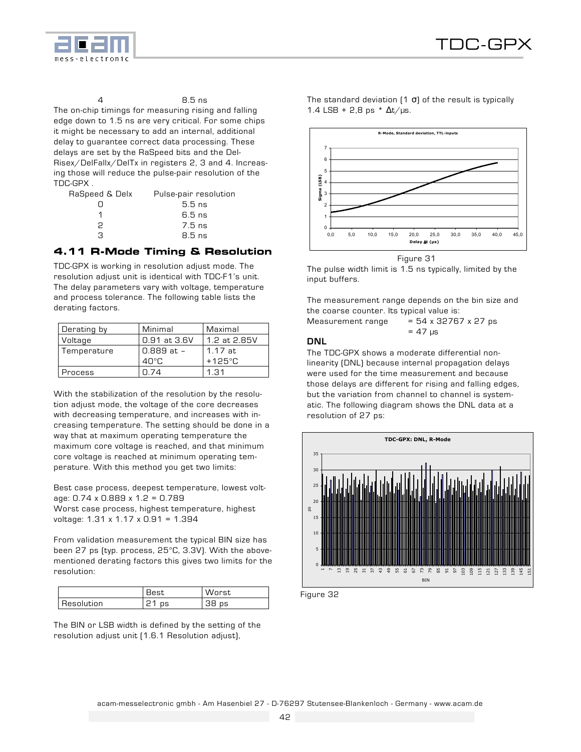<span id="page-41-0"></span>

 4 8.5 ns The on-chip timings for measuring rising and falling edge down to 1.5 ns are very critical. For some chips it might be necessary to add an internal, additional delay to guarantee correct data processing. These delays are set by the RaSpeed bits and the Del-Risex/DelFallx/DelTx in registers 2, 3 and 4. Increasing those will reduce the pulse-pair resolution of the TDC-GPX .

| RaSpeed & Delx | Pulse-pair resolution |
|----------------|-----------------------|
|                | $5.5$ ns              |
|                | $6.5$ ns              |
| ₽              | $7.5$ ns              |
| я              | $8.5$ ns              |

# 4.11 R-Mode Timing & Resolution

TDC-GPX is working in resolution adjust mode. The resolution adjust unit is identical with TDC-F1's unit. The delay parameters vary with voltage, temperature and process tolerance. The following table lists the derating factors.

| Derating by | Minimal                          | Maximal                   |
|-------------|----------------------------------|---------------------------|
| Voltage     | 0.91 at 3.6V                     | 1.2 at 2.85V              |
| Temperature | $0.889$ at $-$<br>$40^{\circ}$ C | 1.17 at<br>$+125^\circ C$ |
| Process     | N 74                             | 1.31                      |

With the stabilization of the resolution by the resolution adjust mode, the voltage of the core decreases with decreasing temperature, and increases with increasing temperature. The setting should be done in a way that at maximum operating temperature the maximum core voltage is reached, and that minimum core voltage is reached at minimum operating temperature. With this method you get two limits:

Best case process, deepest temperature, lowest voltage: 0.74 x 0.889 x 1.2 = 0.789 Worst case process, highest temperature, highest voltage: 1.31 x 1.17 x 0.91 = 1.394

From validation measurement the typical BIN size has been 27 ps (typ. process, 25°C, 3.3V). With the abovementioned derating factors this gives two limits for the resolution:

|                    |    | orst |
|--------------------|----|------|
| <u> Resolution</u> | DS | DS   |

The BIN or LSB width is defined by the setting of the resolution adjust unit (1.6.1 Resolution adjust),

The standard deviation  $(1 \sigma)$  of the result is typically 1.4 LSB + 2,8 ps \* ∆t/µs.



The pulse width limit is 1.5 ns typically, limited by the input buffers.

The measurement range depends on the bin size and the coarse counter. Its typical value is: Measurement range  $= 54 \times 32767 \times 27$  ps  $= 47$  us

#### **DNL**

The TDC-GPX shows a moderate differential nonlinearity (DNL) because internal propagation delays were used for the time measurement and because those delays are different for rising and falling edges, but the variation from channel to channel is systematic. The following diagram shows the DNL data at a resolution of 27 ps:



Figure 32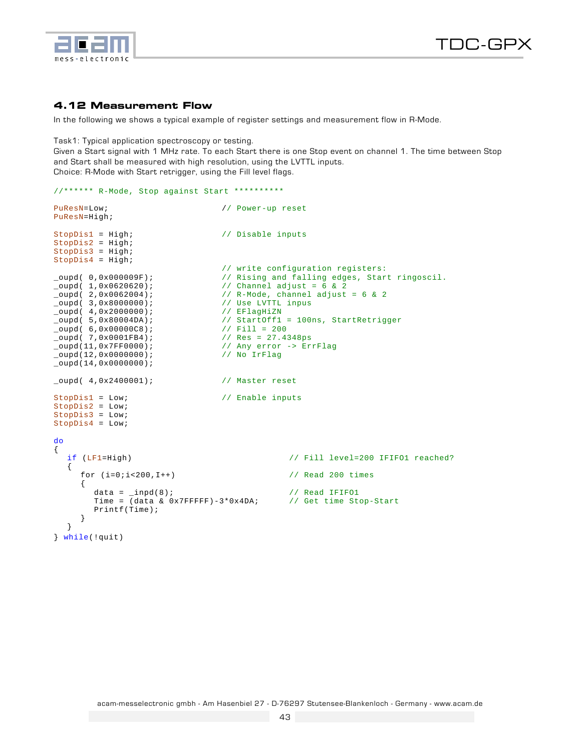<span id="page-42-0"></span>

#### 4.12 Measurement Flow

In the following we shows a typical example of register settings and measurement flow in R-Mode.

Task1: Typical application spectroscopy or testing.

Given a Start signal with 1 MHz rate. To each Start there is one Stop event on channel 1. The time between Stop and Start shall be measured with high resolution, using the LVTTL inputs. Choice: R-Mode with Start retrigger, using the Fill level flags.

```
//****** R-Mode, Stop against Start **********
```

```
PuResN=Low; // Power-up reset
PuResN=High; 
StopDis1 = High; // Disable inputs
StopDis2 = High; 
StopDis3 = High; 
StopDis4 = High; 
 // write configuration registers:
\text{\tt \_oupd( 0,0x000009F)}; // Rising and falling edges, Start ringoscil.<br>
\text{\tt \_oupd( 1,0x0620620)}; // Channel adjust = 6 & 2
_oupd( 1,0x0620620); // Channel adjust = 6 & 2
                                                \frac{2}{x} R-Mode, channel adjust = 6 & 2<br>\frac{2}{x} Use LVTTL inpus
\begin{array}{lll} \text{\texttt{1}} & \text{\texttt{1}} & \text{\texttt{1}} & \text{\texttt{2}} & \text{\texttt{3}} & \text{\texttt{0}} & \text{\texttt{2}} & \text{\texttt{3}} & \text{\texttt{3}} & \text{\texttt{3}} & \text{\texttt{4}} & \text{\texttt{5}} & \text{\texttt{6}} & \text{\texttt{7}} & \text{\texttt{8}} & \text{\texttt{9}} & \text{\texttt{1}} & \text{\texttt{1}} & \text{\texttt{1}} & \text{\texttt{1}} & \text{\texttt{1}} & \text{\texttt{1}} & \text{\texttt{1}} & \text{\texttt\_oupd( 4,0x2000000);
_oupd( 5,0x80004DA); // StartOff1 = 100ns, StartRetrigger 
_oupd( 6,0x00000C8); // Fill = 200
\_oupd( 7,0x0001FB4);<br>\_oupd(11,0x7FF0000);
                                                // Any error -> ErrFlag<br>// No IrFlag
\_oupd(12,0x0000000);
_{\text{1}}oupd(14,0x0000000);
_oupd( 4,0x2400001); // Master reset 
StopDis1 = Low; // Enable inputs 
StopDis2 = Low; 
StopDis3 = Low; 
StopDis4 = Low; 
do 
{ 
    if (LF1=High) // Fill level=200 IFIFO1 reached?
     { 
        for (i=0;i<200,I++) // Read 200 times
         { 
           data = \frac{1}{8};<br>Time = \frac{1}{2} (data & 0x7FFFFF)-3*0x4DA;<br>\frac{1}{2} // Get time Stop-Start
           Time = (data & 0x7FFFFF) -3*0x4DA; Printf(Time); 
         } 
     } 
} while(!quit)
```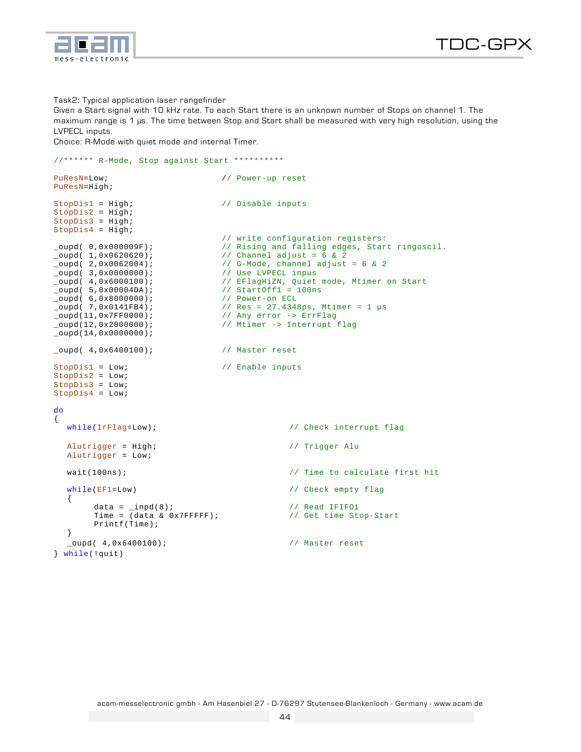

Task2: Typical application laser rangefinder

Given a Start signal with 10 kHz rate. To each Start there is an unknown number of Stops on channel 1. The maximum range is 1 µs. The time between Stop and Start shall be measured with very high resolution, using the LVPECL inputs.

Choice: R-Mode with quiet mode and internal Timer.

```
//****** R-Mode, Stop against Start ********** 
PuResN=Low; // Power-up reset
PuResN=High; 
StopDis1 = High; // Disable inputs
StopDis2 = High; 
StopDis3 = High; 
StopDis4 = High; 
 // write configuration registers:
\text{\tt \_oupd( 0,0x000009F)}; // Rising and falling edges, Start ringoscil.<br>
\text{\tt \_oupd( 1,0x0620620)}; // Channel adjust = 6 & 2
\text{\tt \_oupd( 1,0x0620620)}; // Channel adjust = 6 & 2<br>\text{\tt \_oupd( 2,0x0062004)}; // G-Mode, channel adjust
                               \frac{1}{2} G-Mode, channel adjust = 6 & 2
_oupd( 3,0x0000000); // Use LVPECL inpus
                               // EFlagHiZN, Quiet mode, Mtimer on Start
_oupd( 5,0x00004DA); // StartOff1 = 100ns 
\_oupd( 6,0x8000000);
_oupd( 7,0x0141FB4); // Res = 27.4348ps, Mtimer = 1 µs 
_oupd(11,0x7FF0000); // Any error -> ErrFlag 
                               // Mtimer -> Interrupt flag
_oupd(14,0x0000000); 
_oupd( 4,0x6400100); // Master reset 
StopDis1 = Low; // Enable inputs 
StopDis2 = Low; 
StopDis3 = Low; 
StopDis4 = Low; 
do 
{ 
  while(IrFlag=Low); \frac{1}{2} // Check interrupt flag
  Alutrigger = High; // Trigger Alu 
  Alutrigger = Low; 
  wait(100ns); \frac{1}{2} // Time to calculate first hit
  while(EF1=Low) \qquad // Check empty flag
   { 
       data = \ln p d(8); \frac{d}{d\pi} // Read IFIFO1
       Time = (data & 0x7FFFFF); // Get time Stop-Start Printf(Time); 
   } 
   _oupd( 4,0x6400100); // Master reset 
} while(!quit)
```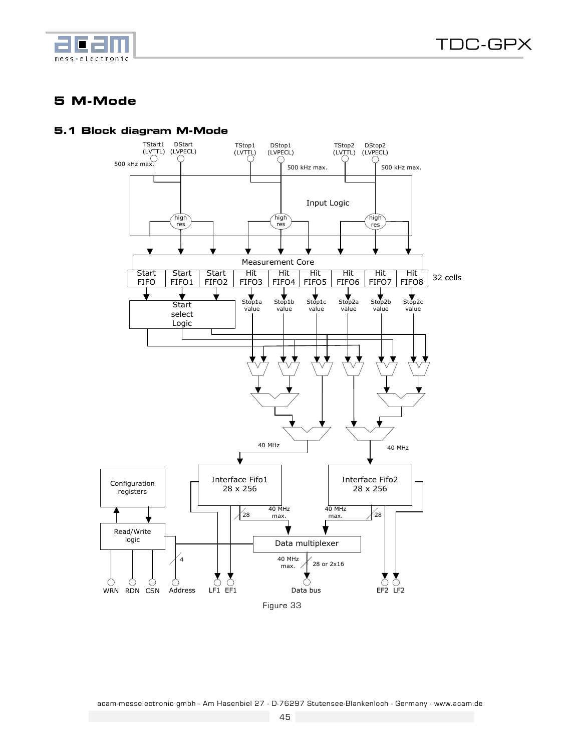<span id="page-44-0"></span>

# 5 M-Mode

# 5.1 Block diagram M-Mode

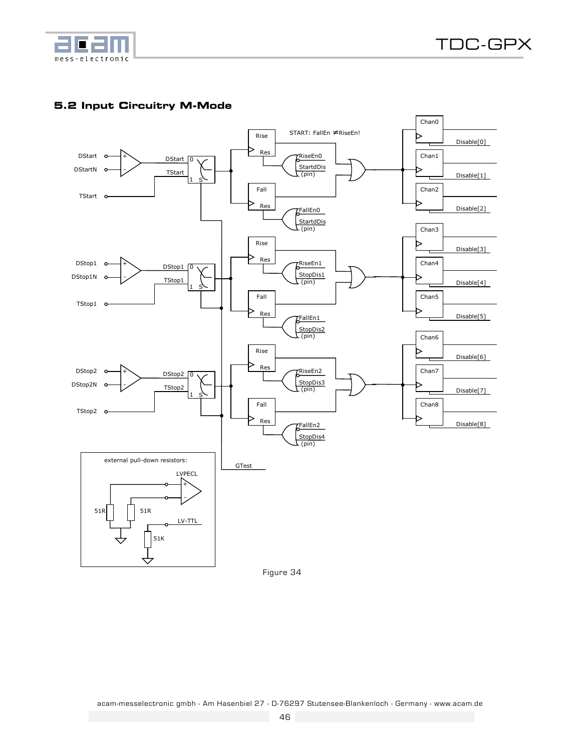<span id="page-45-0"></span>

# 5.2 Input Circuitry M-Mode

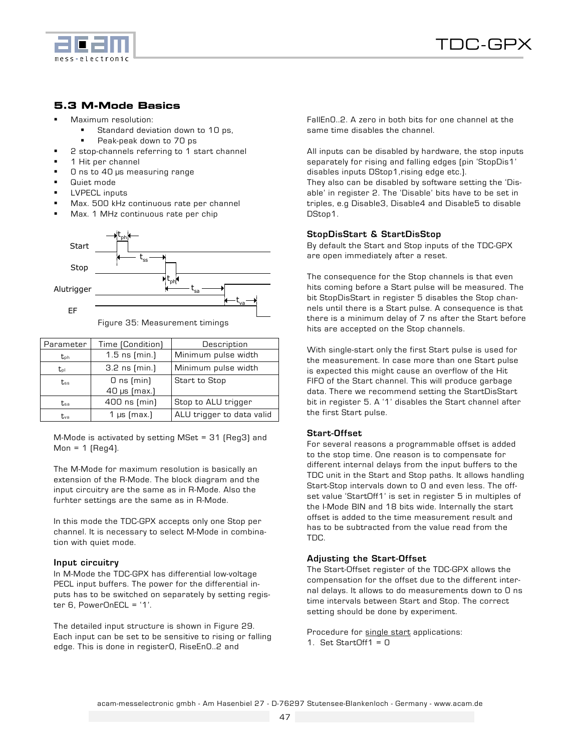<span id="page-46-0"></span>

#### 5.3 M-Mode Basics

- Maximum resolution:
	- Standard deviation down to 10 ps,
	- Peak-peak down to 70 ps
	- 2 stop-channels referring to 1 start channel
- 1 Hit per channel
- 0 ns to 40 µs measuring range
- Quiet mode
- LVPECL inputs
- Max. 500 kHz continuous rate per channel
- Max. 1 MHz continuous rate per chip



Figure 35: Measurement timings

| Parameter    | Time (Condition)        | Description               |
|--------------|-------------------------|---------------------------|
| $t_{\sf ph}$ | $1.5$ ns ${\rm [min.]}$ | Minimum pulse width       |
| $t_{p}$      | $3.2$ ns $[min.]$       | Minimum pulse width       |
| tss          | $0$ ns $[\text{min}]$   | Start to Stop             |
|              | $40 \mu s$ (max.)       |                           |
| tsa          | $400$ ns $(min)$        | Stop to ALU trigger       |
| tva          | 1 $\mu s$ (max.)        | ALU trigger to data valid |

M-Mode is activated by setting MSet = 31 (Reg3) and Mon = 1 (Reg4).

The M-Mode for maximum resolution is basically an extension of the R-Mode. The block diagram and the input circuitry are the same as in R-Mode. Also the furhter settings are the same as in R-Mode.

In this mode the TDC-GPX accepts only one Stop per channel. It is necessary to select M-Mode in combination with quiet mode.

#### **Input circuitry**

In M-Mode the TDC-GPX has differential low-voltage PECL input buffers. The power for the differential inputs has to be switched on separately by setting register 6, PowerOnECL = '1'.

The detailed input structure is shown in Figure 29. Each input can be set to be sensitive to rising or falling edge. This is done in register0, RiseEn0..2 and

FallEn0..2. A zero in both bits for one channel at the same time disables the channel.

All inputs can be disabled by hardware, the stop inputs separately for rising and falling edges (pin 'StopDis1' disables inputs DStop1,rising edge etc.).

They also can be disabled by software setting the 'Disable' in register 2. The 'Disable' bits have to be set in triples, e.g Disable3, Disable4 and Disable5 to disable DStop1.

#### **StopDisStart & StartDisStop**

By default the Start and Stop inputs of the TDC-GPX are open immediately after a reset.

The consequence for the Stop channels is that even hits coming before a Start pulse will be measured. The bit StopDisStart in register 5 disables the Stop channels until there is a Start pulse. A consequence is that there is a minimum delay of 7 ns after the Start before hits are accepted on the Stop channels.

With single-start only the first Start pulse is used for the measurement. In case more than one Start pulse is expected this might cause an overflow of the Hit FIFO of the Start channel. This will produce garbage data. There we recommend setting the StartDisStart bit in register 5. A '1' disables the Start channel after the first Start pulse.

#### **Start-Offset**

For several reasons a programmable offset is added to the stop time. One reason is to compensate for different internal delays from the input buffers to the TDC unit in the Start and Stop paths. It allows handling Start-Stop intervals down to 0 and even less. The offset value 'StartOff1' is set in register 5 in multiples of the I-Mode BIN and 18 bits wide. Internally the start offset is added to the time measurement result and has to be subtracted from the value read from the TDC.

#### **Adjusting the Start-Offset**

The Start-Offset register of the TDC-GPX allows the compensation for the offset due to the different internal delays. It allows to do measurements down to 0 ns time intervals between Start and Stop. The correct setting should be done by experiment.

Procedure for single start applications: 1. Set StartOff1 = 0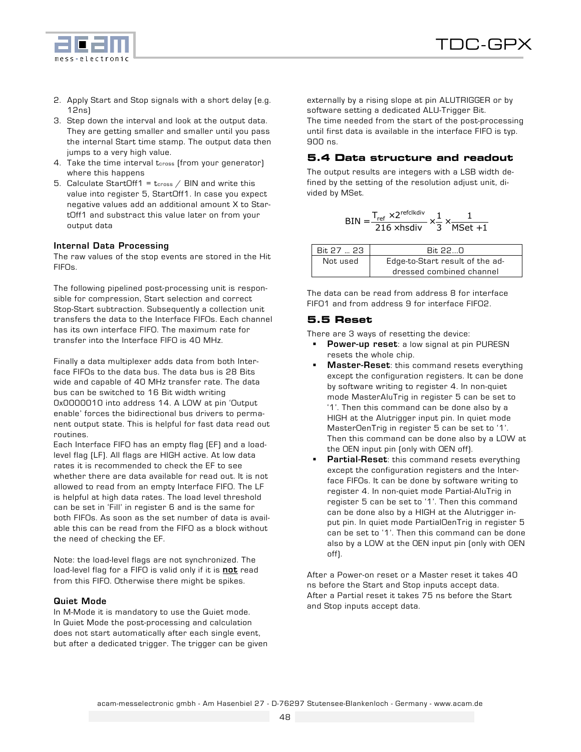<span id="page-47-0"></span>

- 2. Apply Start and Stop signals with a short delay (e.g. 12ns)
- 3. Step down the interval and look at the output data. They are getting smaller and smaller until you pass the internal Start time stamp. The output data then jumps to a very high value.
- 4. Take the time interval teross (from your generator) where this happens
- 5. Calculate StartOff1 =  $t_{cross}$   $/$  BIN and write this value into register 5, StartOff1. In case you expect negative values add an additional amount X to StartOff1 and substract this value later on from your output data

#### **Internal Data Processing**

The raw values of the stop events are stored in the Hit FIFOs.

The following pipelined post-processing unit is responsible for compression, Start selection and correct Stop-Start subtraction. Subsequently a collection unit transfers the data to the Interface FIFOs. Each channel has its own interface FIFO. The maximum rate for transfer into the Interface FIFO is 40 MHz.

Finally a data multiplexer adds data from both Interface FIFOs to the data bus. The data bus is 28 Bits wide and capable of 40 MHz transfer rate. The data bus can be switched to 16 Bit width writing 0x0000010 into address 14. A LOW at pin 'Output enable' forces the bidirectional bus drivers to permanent output state. This is helpful for fast data read out routines.

Each Interface FIFO has an empty flag (EF) and a loadlevel flag (LF). All flags are HIGH active. At low data rates it is recommended to check the EF to see whether there are data available for read out. It is not allowed to read from an empty Interface FIFO. The LF is helpful at high data rates. The load level threshold can be set in 'Fill' in register 6 and is the same for both FIFOs. As soon as the set number of data is available this can be read from the FIFO as a block without the need of checking the EF.

Note: the load-level flags are not synchronized. The load-level flag for a FIFO is valid only if it is **not** read from this FIFO. Otherwise there might be spikes.

#### **Quiet Mode**

In M-Mode it is mandatory to use the Quiet mode. In Quiet Mode the post-processing and calculation does not start automatically after each single event, but after a dedicated trigger. The trigger can be given

externally by a rising slope at pin ALUTRIGGER or by software setting a dedicated ALU-Trigger Bit. The time needed from the start of the post-processing until first data is available in the interface FIFO is typ. 900 ns.

#### 5.4 Data structure and readout

The output results are integers with a LSB width defined by the setting of the resolution adjust unit, divided by MSet.

$$
BIN = \frac{T_{ref} \times 2^{refclkdiv}}{216 \times hsdiv} \times \frac{1}{3} \times \frac{1}{MSet + 1}
$$

| Bit 27  23 | Bit. 22O                        |
|------------|---------------------------------|
| Not used   | Edge-to-Start result of the ad- |
|            | dressed combined channel        |

The data can be read from address 8 for interface FIFO1 and from address 9 for interface FIFO2.

#### 5.5 Reset

There are 3 ways of resetting the device:

- **Power-up reset**: a low signal at pin PURESN resets the whole chip.
- **Master-Reset**: this command resets everything except the configuration registers. It can be done by software writing to register 4. In non-quiet mode MasterAluTrig in register 5 can be set to '1'. Then this command can be done also by a HIGH at the Alutrigger input pin. In quiet mode MasterOenTrig in register 5 can be set to '1'. Then this command can be done also by a LOW at the OEN input pin (only with OEN off).
- **Partial-Reset**: this command resets everything except the configuration registers and the Interface FIFOs. It can be done by software writing to register 4. In non-quiet mode Partial-AluTrig in register 5 can be set to '1'. Then this command can be done also by a HIGH at the Alutrigger input pin. In quiet mode PartialOenTrig in register 5 can be set to '1'. Then this command can be done also by a LOW at the OEN input pin (only with OEN off).

After a Power-on reset or a Master reset it takes 40 ns before the Start and Stop inputs accept data. After a Partial reset it takes 75 ns before the Start and Stop inputs accept data.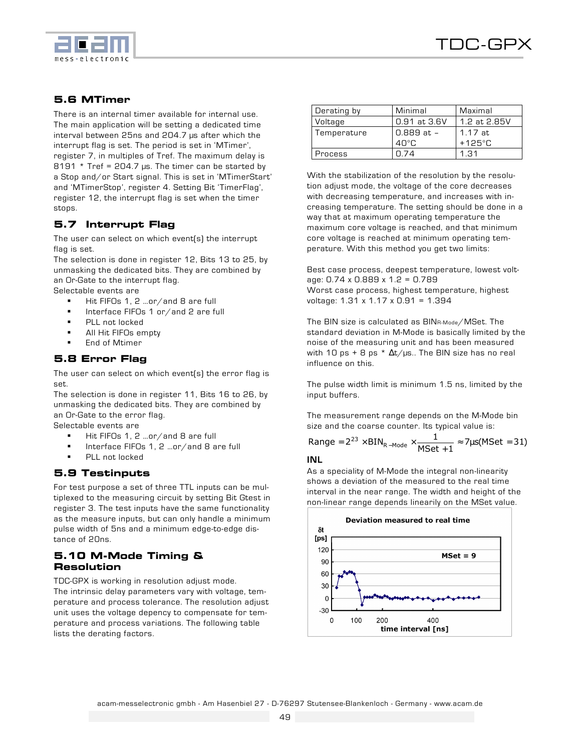<span id="page-48-0"></span>

# 5.6 MTimer

There is an internal timer available for internal use. The main application will be setting a dedicated time interval between 25ns and 204.7 µs after which the interrupt flag is set. The period is set in 'MTimer', register 7, in multiples of Tref. The maximum delay is 8191  $*$  Tref = 204.7 µs. The timer can be started by a Stop and/or Start signal. This is set in 'MTimerStart' and 'MTimerStop', register 4. Setting Bit 'TimerFlag', register 12, the interrupt flag is set when the timer stops.

# 5.7 Interrupt Flag

The user can select on which event(s) the interrupt flag is set.

The selection is done in register 12, Bits 13 to 25, by unmasking the dedicated bits. They are combined by an Or-Gate to the interrupt flag. Selectable events are

- Hit FIFOs 1, 2 …or/and 8 are full
- Interface FIFOs 1 or/and 2 are full
- PLL not locked
- All Hit FIFOs empty
- End of Mtimer

#### 5.8 Error Flag

The user can select on which event(s) the error flag is set.

The selection is done in register 11, Bits 16 to 26, by unmasking the dedicated bits. They are combined by an Or-Gate to the error flag.

Selectable events are

- Hit FIFOs 1, 2 …or/and 8 are full
- Interface FIFOs 1, 2 …or/and 8 are full
- PLL not locked

# 5.9 Testinputs

For test purpose a set of three TTL inputs can be multiplexed to the measuring circuit by setting Bit Gtest in register 3. The test inputs have the same functionality as the measure inputs, but can only handle a minimum pulse width of 5ns and a minimum edge-to-edge distance of 20ns.

# 5.10 M-Mode Timing & Resolution

TDC-GPX is working in resolution adjust mode. The intrinsic delay parameters vary with voltage, temperature and process tolerance. The resolution adjust unit uses the voltage depency to compensate for temperature and process variations. The following table lists the derating factors.

| Derating by | Minimal        | Maximal        |
|-------------|----------------|----------------|
| Voltage     | 0.91 at 3.6V   | 1.2 at 2.85V   |
| Temperature | $0.889$ at $-$ | 1.17 at.       |
|             | $40^{\circ}$ C | $+125^\circ C$ |
| Process     | N 74           | 1.31           |

With the stabilization of the resolution by the resolution adjust mode, the voltage of the core decreases with decreasing temperature, and increases with increasing temperature. The setting should be done in a way that at maximum operating temperature the maximum core voltage is reached, and that minimum core voltage is reached at minimum operating temperature. With this method you get two limits:

Best case process, deepest temperature, lowest voltage: 0.74 x 0.889 x 1.2 = 0.789 Worst case process, highest temperature, highest voltage: 1.31 x 1.17 x 0.91 = 1.394

The BIN size is calculated as BINR-Mode/MSet. The standard deviation in M-Mode is basically limited by the noise of the measuring unit and has been measured with 10 ps + 8 ps  $*$   $\Delta t / \mu s$ .. The BIN size has no real influence on this.

The pulse width limit is minimum 1.5 ns, limited by the input buffers.

The measurement range depends on the M-Mode bin size and the coarse counter. Its typical value is:

Range = 
$$
2^{23} \times BIN_{R-Mode} \times \frac{1}{MSet + 1} \approx 7\mu s(MSet = 31)
$$

#### **INL**

As a speciality of M-Mode the integral non-linearity shows a deviation of the measured to the real time interval in the near range. The width and height of the non-linear range depends linearily on the MSet value.

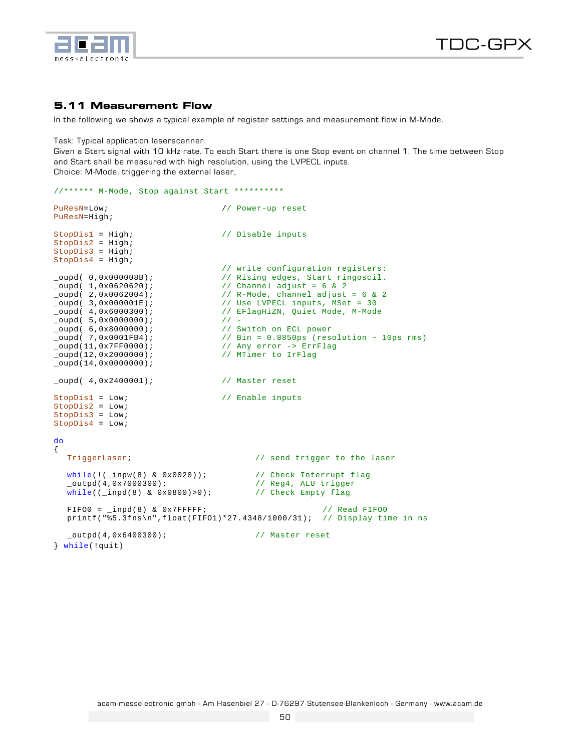<span id="page-49-0"></span>

#### 5.11 Measurement Flow

In the following we shows a typical example of register settings and measurement flow in M-Mode.

Task: Typical application laserscanner.

Given a Start signal with 10 kHz rate. To each Start there is one Stop event on channel 1. The time between Stop and Start shall be measured with high resolution, using the LVPECL inputs. Choice: M-Mode, triggering the external laser,

```
//****** M-Mode, Stop against Start **********
```

```
PuResN=Low; // Power-up reset
PuResN=High; 
StopDis1 = High; // Disable inputs
StopDis2 = High;StopDis3 = High; 
StopDis4 = High; 
 // write configuration registers:
_oupd( 0,0x000008B); // Rising edges, Start ringoscil.
_oupd( 1,0x0620620); // Channel adjust = 6 & 2
_oupd( 2,0x0062004); // R-Mode, channel adjust = 6 & 2
_oupd( 3,0x000001E); // Use LVPECL inputs, MSet = 30 
                                          // EFlagHiZN, Quiet Mode, M-Mode
_oupd( 5,0x0000000);<br>
- oupd( 6,0x8000000);<br>
- // Switch on ECL power
\begin{array}{cc} \text{1} & 6,0 \times 8000000; \\ \text{2} & 7,0 \times 0001 \text{FB} \end{array}\text{\tt \_oupd( 7,0x0001FB4)}; // Bin = 0.8850ps (resolution ~ 10ps rms)<br>
\text{\tt \_oupd(11,0x7FF0000)}; // Any error -> ErrFlag
                                          // Any error -> ErrFlag<br>// MTimer to IrFlag
\_oupd(12,0x2000000);
_{\text{1}}oupd(14,0x0000000);
_oupd( 4,0x2400001); // Master reset 
StopDis1 = Low; // Enable inputs 
StopDis2 = Low; 
StopDis3 = Low; 
StopDis4 = Low; 
do 
{ 
   TriggerLaser; \sqrt{2} // send trigger to the laser
   while(!(_inpw(8) & 0x0020)); \left(\frac{1}{2} \cdot \frac{1}{2} \cdot \frac{1}{2} \cdot \frac{1}{2} \cdot \frac{1}{2} \cdot \frac{1}{2} \cdot \frac{1}{2} \cdot \frac{1}{2} \cdot \frac{1}{2} \cdot \frac{1}{2} \cdot \frac{1}{2} \cdot \frac{1}{2} \cdot \frac{1}{2} \cdot \frac{1}{2} \cdot \frac{1}{2} \cdot \frac{1}{2} \cdot \frac{1}{2} \cdot \frac{1}{2} \cdot \frac{1}{2} \cdot \frac{1}{2} \cdot \frac{1}{2} \cdot_{\text{outpd}(4,0x7000300)};
   while((_inpd(8) & 0x0800)>0); // Check Empty flag
   FIFOO = \text{inpd}(8) & 0x7FFFFF; // Read FIFOO
    printf("%5.3fns\n",float(FIFO1)*27.4348/1000/31); // Display time in ns 
   _outpd(4,0x6400300); // Master reset
```
} while(!quit)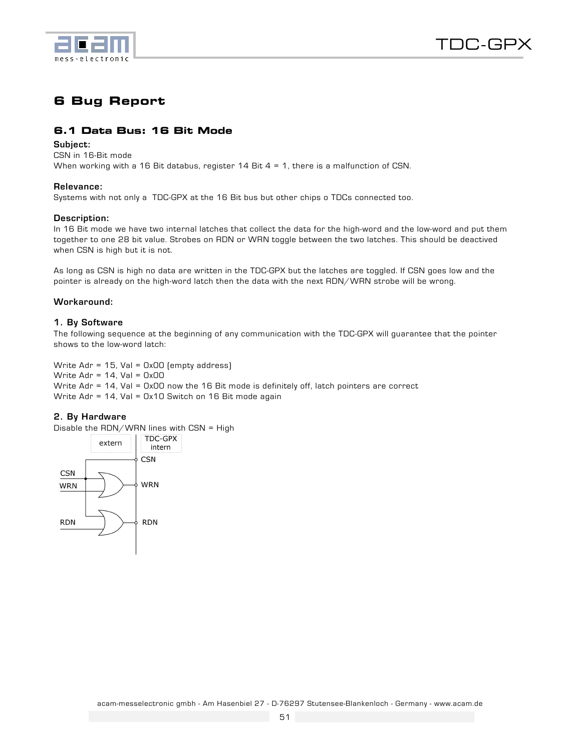<span id="page-50-0"></span>

# 6 Bug Report

# 6.1 Data Bus: 16 Bit Mode

#### **Subject:**

CSN in 16-Bit mode When working with a 16 Bit databus, register 14 Bit  $4 = 1$ , there is a malfunction of CSN.

#### **Relevance:**

Systems with not only a TDC-GPX at the 16 Bit bus but other chips o TDCs connected too.

#### **Description:**

In 16 Bit mode we have two internal latches that collect the data for the high-word and the low-word and put them together to one 28 bit value. Strobes on RDN or WRN toggle between the two latches. This should be deactived when CSN is high but it is not.

As long as CSN is high no data are written in the TDC-GPX but the latches are toggled. If CSN goes low and the pointer is already on the high-word latch then the data with the next RDN/WRN strobe will be wrong.

#### **Workaround:**

#### **1. By Software**

The following sequence at the beginning of any communication with the TDC-GPX will guarantee that the pointer shows to the low-word latch:

Write Adr = 15, Val = 0x00 (empty address)

Write  $Adr = 14$ ,  $Val = 0x00$ Write Adr = 14, Val = 0x00 now the 16 Bit mode is definitely off, latch pointers are correct Write Adr = 14, Val = 0x10 Switch on 16 Bit mode again

#### **2. By Hardware**

Disable the  $RDN/WRN$  lines with  $CSN = High$ 

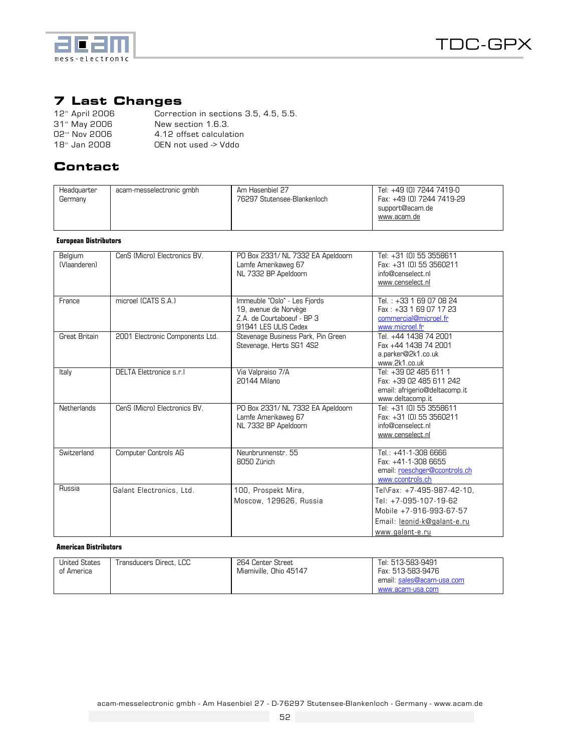<span id="page-51-0"></span>

# 7 Last Changes

| 12th April 2006           | Correction in sections 3.5, 4.5, 5.5. |
|---------------------------|---------------------------------------|
| 31 <sup>st</sup> May 2006 | New section 1.6.3.                    |
| 02 <sup>nd</sup> Nov 2006 | 4.12 offset calculation               |
| 18th Jan 2008             | OEN not used -> Vddo                  |

# Contact

| Headquarter<br>Germany | acam-messelectronic gmbh | Am Hasenbiel 27<br>76297 Stutensee-Blankenloch | Tel: +49 (0) 7244 7419-0<br>Fax: +49 (0) 7244 7419-29<br>support@acam.de<br>www.acam.de |
|------------------------|--------------------------|------------------------------------------------|-----------------------------------------------------------------------------------------|
|                        |                          |                                                |                                                                                         |

#### **European Distributors**

| Belgium<br>(Vlaanderen) | CenS (Micro) Electronics BV.    | PO Box 2331/ NL 7332 EA Apeldoorn<br>Lamfe Amerikaweg 67<br>NL 7332 BP Apeldoorn                            | Tel: +31 (0) 55 3558611<br>$Fax: +31$ (0) 55 3560211<br>info@censelect.nl<br>www.censelect.nl                                    |
|-------------------------|---------------------------------|-------------------------------------------------------------------------------------------------------------|----------------------------------------------------------------------------------------------------------------------------------|
| France                  | microel (CATS S.A.)             | Immeuble "Oslo" - Les Fjords<br>19, avenue de Norvège<br>Z.A. de Courtaboeuf - BP 3<br>91941 LES ULIS Cedex | Tel.: +33 1 69 07 08 24<br>Fax: +33 1 69 07 17 23<br>commercial@microel.fr<br>www.microel.fr                                     |
| Great Britain           | 2001 Electronic Components Ltd. | Stevenage Business Park, Pin Green<br>Stevenage, Herts SG1 4S2                                              | Tel. +44 1438 74 2001<br>Fax +44 1438 74 2001<br>a.parker@2k1.co.uk<br>www.2k1.co.uk                                             |
| Italy                   | DELTA Elettronice s.r.l.        | Via Valpraiso 7/A<br>20144 Milano                                                                           | Tel: +39 02 485 611 1<br>Fax: +39 02 485 611 242<br>email: afrigerio@deltacomp.it<br>www.deltacomp.it                            |
| Netherlands             | CenS (Micro) Electronics BV.    | PO Box 2331/ NL 7332 EA Apeldoorn<br>Lamfe Amerikaweg 67<br>NL 7332 BP Apeldoorn                            | Tel: +31 (0) 55 3558611<br>$Fax: +31$ (0) 55 3560211<br>info@censelect.nl<br>www.censelect.nl                                    |
| Switzerland             | Computer Controls AG            | Neunbrunnenstr. 55<br>8050 Zürich                                                                           | Tel.: +41-1-308 6666<br>$Fax: +41-1-3086655$<br>email: roeschger@ccontrols.ch<br>www.ccontrols.ch                                |
| Russia                  | Galant Electronics, Ltd.        | 100, Prospekt Mira,<br>Moscow, 129626, Russia                                                               | Tel\Fax: +7-495-987-42-10.<br>Tel: +7-095-107-19-62<br>Mobile +7-916-993-67-57<br>Email: leonid-k@galant-e.ru<br>www.galant-e.ru |

#### **American Distributors**

| <b>United States</b> | Transducers Direct. LCC | 264 Center Street      | Tel: 513-583-9491                             |
|----------------------|-------------------------|------------------------|-----------------------------------------------|
| of America           |                         | Miamiville, Ohio 45147 | Fax: 513-583-9476                             |
|                      |                         |                        | email: sales@acam-usa.com<br>www.acam-usa.com |